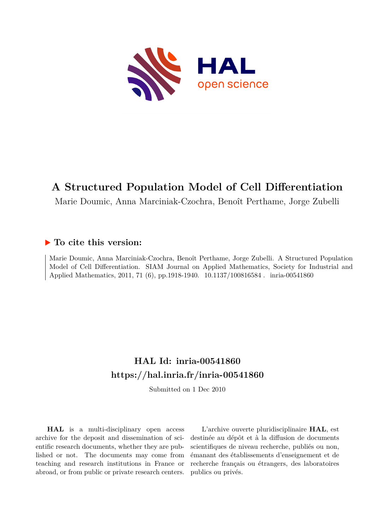

# **A Structured Population Model of Cell Differentiation**

Marie Doumic, Anna Marciniak-Czochra, Benoît Perthame, Jorge Zubelli

### **To cite this version:**

Marie Doumic, Anna Marciniak-Czochra, Benoît Perthame, Jorge Zubelli. A Structured Population Model of Cell Differentiation. SIAM Journal on Applied Mathematics, Society for Industrial and Applied Mathematics, 2011, 71 (6), pp.1918-1940. 10.1137/100816584. inria-00541860

# **HAL Id: inria-00541860 <https://hal.inria.fr/inria-00541860>**

Submitted on 1 Dec 2010

**HAL** is a multi-disciplinary open access archive for the deposit and dissemination of scientific research documents, whether they are published or not. The documents may come from teaching and research institutions in France or abroad, or from public or private research centers.

L'archive ouverte pluridisciplinaire **HAL**, est destinée au dépôt et à la diffusion de documents scientifiques de niveau recherche, publiés ou non, émanant des établissements d'enseignement et de recherche français ou étrangers, des laboratoires publics ou privés.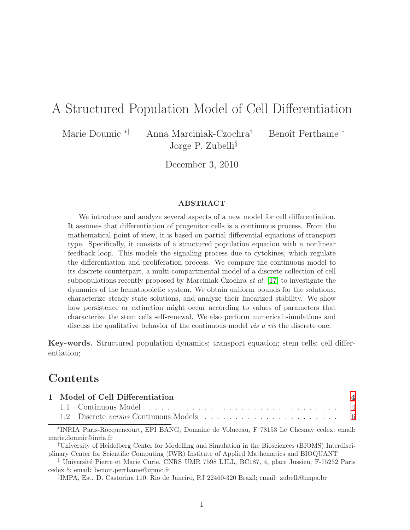# A Structured Population Model of Cell Differentiation

Marie Doumic <sup>∗‡</sup> Anna Marciniak-Czochra<sup>†</sup> Benoît Perthame<sup>‡</sup>\*

Jorge P. Zubelli§

December 3, 2010

#### ABSTRACT

We introduce and analyze several aspects of a new model for cell differentiation. It assumes that differentiation of progenitor cells is a continuous process. From the mathematical point of view, it is based on partial differential equations of transport type. Specifically, it consists of a structured population equation with a nonlinear feedback loop. This models the signaling process due to cytokines, which regulate the differentiation and proliferation process. We compare the continuous model to its discrete counterpart, a multi-compartmental model of a discrete collection of cell subpopulations recently proposed by Marciniak-Czochra et al. [\[17\]](#page-29-0) to investigate the dynamics of the hematopoietic system. We obtain uniform bounds for the solutions, characterize steady state solutions, and analyze their linearized stability. We show how persistence or extinction might occur according to values of parameters that characterize the stem cells self-renewal. We also perform numerical simulations and discuss the qualitative behavior of the continuous model vis a vis the discrete one.

Key-words. Structured population dynamics; transport equation; stem cells; cell differentiation;

## Contents

| 1 Model of Cell Differentiation |  |  |  |  |  |  |  |
|---------------------------------|--|--|--|--|--|--|--|
|                                 |  |  |  |  |  |  |  |
|                                 |  |  |  |  |  |  |  |

∗ INRIA Paris-Rocquencourt, EPI BANG, Domaine de Voluceau, F 78153 Le Chesnay cedex; email: marie.doumic@inria.fr

†University of Heidelberg Center for Modelling and Simulation in the Biosciences (BIOMS) Interdisciplinary Center for Scientific Computing (IWR) Institute of Applied Mathematics and BIOQUANT

<sup>‡</sup> Université Pierre et Marie Curie, CNRS UMR 7598 LJLL, BC187, 4, place Jussieu, F-75252 Paris cedex 5; email: benoit.perthame@upmc.fr

§ IMPA, Est. D. Castorina 110, Rio de Janeiro, RJ 22460-320 Brazil; email: zubelli@impa.br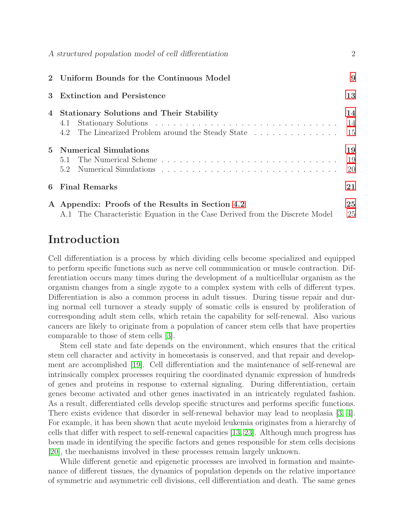|             | A structured population model of cell differentiation                                                                           | $\overline{2}$ |
|-------------|---------------------------------------------------------------------------------------------------------------------------------|----------------|
|             | 2 Uniform Bounds for the Continuous Model                                                                                       | 9              |
| 3           | <b>Extinction and Persistence</b>                                                                                               | 13             |
| 4           | <b>Stationary Solutions and Their Stability</b><br>4.1<br>4.2 The Linearized Problem around the Steady State                    | 14<br>14<br>15 |
| $5^{\circ}$ | <b>Numerical Simulations</b><br>5.1<br>5.2                                                                                      | 19<br>19<br>20 |
| 6           | <b>Final Remarks</b>                                                                                                            | 21             |
|             | A Appendix: Proofs of the Results in Section 4.2<br>A.1 The Characteristic Equation in the Case Derived from the Discrete Model | 25<br>25       |

# Introduction

Cell differentiation is a process by which dividing cells become specialized and equipped to perform specific functions such as nerve cell communication or muscle contraction. Differentiation occurs many times during the development of a multicellular organism as the organism changes from a single zygote to a complex system with cells of different types. Differentiation is also a common process in adult tissues. During tissue repair and during normal cell turnover a steady supply of somatic cells is ensured by proliferation of corresponding adult stem cells, which retain the capability for self-renewal. Also various cancers are likely to originate from a population of cancer stem cells that have properties comparable to those of stem cells [\[3\]](#page-28-0).

Stem cell state and fate depends on the environment, which ensures that the critical stem cell character and activity in homeostasis is conserved, and that repair and development are accomplished [\[19\]](#page-29-1). Cell differentiation and the maintenance of self-renewal are intrinsically complex processes requiring the coordinated dynamic expression of hundreds of genes and proteins in response to external signaling. During differentiation, certain genes become activated and other genes inactivated in an intricately regulated fashion. As a result, differentiated cells develop specific structures and performs specific functions. There exists evidence that disorder in self-renewal behavior may lead to neoplasia [\[3,](#page-28-0) [4\]](#page-28-1). For example, it has been shown that acute myeloid leukemia originates from a hierarchy of cells that differ with respect to self-renewal capacities [\[13,](#page-29-2) [23\]](#page-29-3). Although much progress has been made in identifying the specific factors and genes responsible for stem cells decisions [\[20\]](#page-29-4), the mechanisms involved in these processes remain largely unknown.

While different genetic and epigenetic processes are involved in formation and maintenance of different tissues, the dynamics of population depends on the relative importance of symmetric and asymmetric cell divisions, cell differentiation and death. The same genes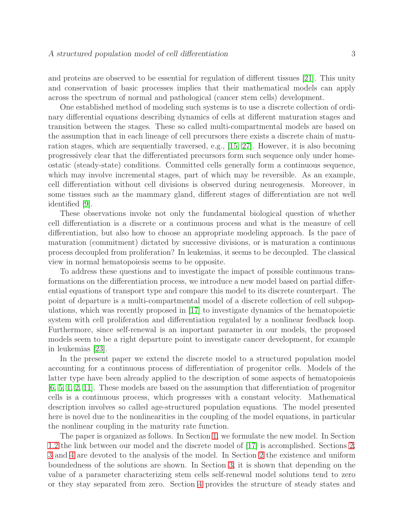and proteins are observed to be essential for regulation of different tissues [\[21\]](#page-29-5). This unity and conservation of basic processes implies that their mathematical models can apply across the spectrum of normal and pathological (cancer stem cells) development.

One established method of modeling such systems is to use a discrete collection of ordinary differential equations describing dynamics of cells at different maturation stages and transition between the stages. These so called multi-compartmental models are based on the assumption that in each lineage of cell precursors there exists a discrete chain of maturation stages, which are sequentially traversed, e.g., [\[15,](#page-29-6) [27\]](#page-30-0). However, it is also becoming progressively clear that the differentiated precursors form such sequence only under homeostatic (steady-state) conditions. Committed cells generally form a continuous sequence, which may involve incremental stages, part of which may be reversible. As an example, cell differentiation without cell divisions is observed during neurogenesis. Moreover, in some tissues such as the mammary gland, different stages of differentiation are not well identified [\[9\]](#page-28-2).

These observations invoke not only the fundamental biological question of whether cell differentiation is a discrete or a continuous process and what is the measure of cell differentiation, but also how to choose an appropriate modeling approach. Is the pace of maturation (commitment) dictated by successive divisions, or is maturation a continuous process decoupled from proliferation? In leukemias, it seems to be decoupled. The classical view in normal hematopoiesis seems to be opposite.

To address these questions and to investigate the impact of possible continuous transformations on the differentiation process, we introduce a new model based on partial differential equations of transport type and compare this model to its discrete counterpart. The point of departure is a multi-compartmental model of a discrete collection of cell subpopulations, which was recently proposed in [\[17\]](#page-29-0) to investigate dynamics of the hematopoietic system with cell proliferation and differentiation regulated by a nonlinear feedback loop. Furthermore, since self-renewal is an important parameter in our models, the proposed models seem to be a right departure point to investigate cancer development, for example in leukemias [\[23\]](#page-29-3).

In the present paper we extend the discrete model to a structured population model accounting for a continuous process of differentiation of progenitor cells. Models of the latter type have been already applied to the description of some aspects of hematopoiesis [\[6,](#page-28-3) [5,](#page-28-4) [1,](#page-28-5) [2,](#page-28-6) [11\]](#page-28-7). These models are based on the assumption that differentiation of progenitor cells is a continuous process, which progresses with a constant velocity. Mathematical description involves so called age-structured population equations. The model presented here is novel due to the nonlinearities in the coupling of the model equations, in particular the nonlinear coupling in the maturity rate function.

The paper is organized as follows. In Section [1,](#page-4-0) we formulate the new model. In Section [1.2](#page-6-0) the link between our model and the discrete model of [\[17\]](#page-29-0) is accomplished. Sections [2,](#page-9-0) [3](#page-13-0) and [4](#page-14-0) are devoted to the analysis of the model. In Section [2](#page-9-0) the existence and uniform boundedness of the solutions are shown. In Section [3,](#page-13-0) it is shown that depending on the value of a parameter characterizing stem cells self-renewal model solutions tend to zero or they stay separated from zero. Section [4](#page-14-0) provides the structure of steady states and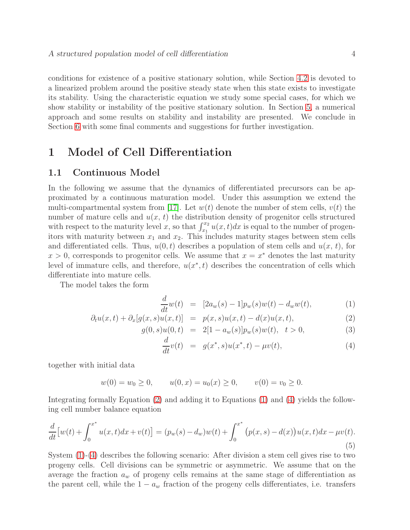conditions for existence of a positive stationary solution, while Section [4.2](#page-15-0) is devoted to a linearized problem around the positive steady state when this state exists to investigate its stability. Using the characteristic equation we study some special cases, for which we show stability or instability of the positive stationary solution. In Section [5,](#page-19-0) a numerical approach and some results on stability and instability are presented. We conclude in Section [6](#page-21-0) with some final comments and suggestions for further investigation.

## <span id="page-4-1"></span><span id="page-4-0"></span>1 Model of Cell Differentiation

### 1.1 Continuous Model

In the following we assume that the dynamics of differentiated precursors can be approximated by a continuous maturation model. Under this assumption we extend the multi-compartmental system from [\[17\]](#page-29-0). Let  $w(t)$  denote the number of stem cells,  $v(t)$  the number of mature cells and  $u(x, t)$  the distribution density of progenitor cells structured with respect to the maturity level x, so that  $\int_{x_1}^{x_2} u(x, t) dx$  is equal to the number of progenitors with maturity between  $x_1$  and  $x_2$ . This includes maturity stages between stem cells and differentiated cells. Thus,  $u(0, t)$  describes a population of stem cells and  $u(x, t)$ , for  $x > 0$ , corresponds to progenitor cells. We assume that  $x = x^*$  denotes the last maturity level of immature cells, and therefore,  $u(x^*,t)$  describes the concentration of cells which differentiate into mature cells.

The model takes the form

<span id="page-4-2"></span>
$$
\frac{d}{dt}w(t) = [2a_w(s) - 1]p_w(s)w(t) - d_w w(t), \qquad (1)
$$

$$
\partial_t u(x,t) + \partial_x[g(x,s)u(x,t)] = p(x,s)u(x,t) - d(x)u(x,t), \tag{2}
$$

$$
g(0,s)u(0,t) = 2[1 - a_w(s)]p_w(s)w(t), \quad t > 0,
$$
\n(3)

<span id="page-4-3"></span>
$$
\frac{d}{dt}v(t) = g(x^*, s)u(x^*, t) - \mu v(t),
$$
\n(4)

together with initial data

$$
w(0) = w_0 \ge 0
$$
,  $u(0, x) = u_0(x) \ge 0$ ,  $v(0) = v_0 \ge 0$ .

Integrating formally Equation [\(2\)](#page-4-2) and adding it to Equations [\(1\)](#page-4-2) and [\(4\)](#page-4-2) yields the following cell number balance equation

$$
\frac{d}{dt}\left[w(t) + \int_0^{x^*} u(x,t)dx + v(t)\right] = (p_w(s) - d_w)w(t) + \int_0^{x^*} (p(x,s) - d(x))u(x,t)dx - \mu v(t).
$$
\n(5)

System [\(1\)](#page-4-2)-[\(4\)](#page-4-2) describes the following scenario: After division a stem cell gives rise to two progeny cells. Cell divisions can be symmetric or asymmetric. We assume that on the average the fraction  $a_w$  of progeny cells remains at the same stage of differentiation as the parent cell, while the  $1 - a_w$  fraction of the progeny cells differentiates, i.e. transfers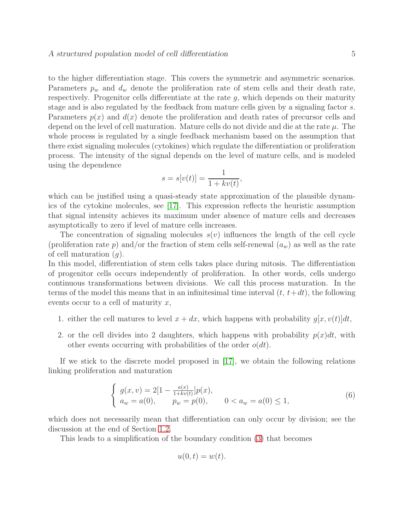to the higher differentiation stage. This covers the symmetric and asymmetric scenarios. Parameters  $p_w$  and  $d_w$  denote the proliferation rate of stem cells and their death rate, respectively. Progenitor cells differentiate at the rate g, which depends on their maturity stage and is also regulated by the feedback from mature cells given by a signaling factor s. Parameters  $p(x)$  and  $d(x)$  denote the proliferation and death rates of precursor cells and depend on the level of cell maturation. Mature cells do not divide and die at the rate  $\mu$ . The whole process is regulated by a single feedback mechanism based on the assumption that there exist signaling molecules (cytokines) which regulate the differentiation or proliferation process. The intensity of the signal depends on the level of mature cells, and is modeled using the dependence

$$
s = s[v(t)] = \frac{1}{1 + kv(t)},
$$

which can be justified using a quasi-steady state approximation of the plausible dynamics of the cytokine molecules, see [\[17\]](#page-29-0). This expression reflects the heuristic assumption that signal intensity achieves its maximum under absence of mature cells and decreases asymptotically to zero if level of mature cells increases.

The concentration of signaling molecules  $s(v)$  influences the length of the cell cycle (proliferation rate p) and/or the fraction of stem cells self-renewal  $(a_w)$  as well as the rate of cell maturation  $(q)$ .

In this model, differentiation of stem cells takes place during mitosis. The differentiation of progenitor cells occurs independently of proliferation. In other words, cells undergo continuous transformations between divisions. We call this process maturation. In the terms of the model this means that in an infinitesimal time interval  $(t, t+dt)$ , the following events occur to a cell of maturity  $x$ ,

- 1. either the cell matures to level  $x + dx$ , which happens with probability  $q[x, v(t)]dt$ ,
- 2. or the cell divides into 2 daughters, which happens with probability  $p(x)dt$ , with other events occurring with probabilities of the order  $o(dt)$ .

If we stick to the discrete model proposed in  $[17]$ , we obtain the following relations linking proliferation and maturation

<span id="page-5-0"></span>
$$
\begin{cases}\ng(x,v) = 2[1 - \frac{a(x)}{1 + kv(t)}]p(x), \\
a_w = a(0), \qquad p_w = p(0), \qquad 0 < a_w = a(0) \le 1,\n\end{cases} \tag{6}
$$

which does not necessarily mean that differentiation can only occur by division; see the discussion at the end of Section [1.2.](#page-6-0)

This leads to a simplification of the boundary condition [\(3\)](#page-4-2) that becomes

$$
u(0,t) = w(t).
$$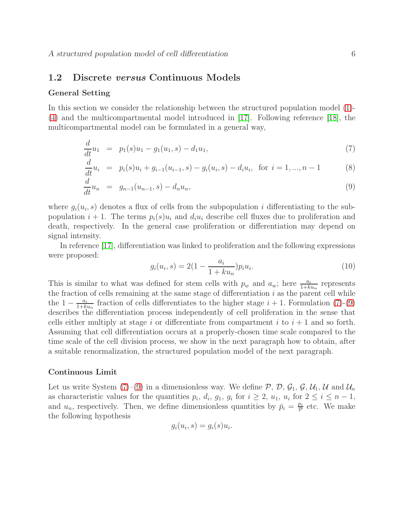### <span id="page-6-0"></span>1.2 Discrete versus Continuous Models

#### General Setting

In this section we consider the relationship between the structured population model [\(1\)](#page-4-2)- [\(4\)](#page-4-2) and the multicompartmental model introduced in [\[17\]](#page-29-0). Following reference [\[18\]](#page-29-7), the multicompartmental model can be formulated in a general way,

<span id="page-6-1"></span>
$$
\frac{d}{dt}u_1 = p_1(s)u_1 - g_1(u_1, s) - d_1u_1,\tag{7}
$$

$$
\frac{d}{dt}u_i = p_i(s)u_i + g_{i-1}(u_{i-1}, s) - g_i(u_i, s) - d_iu_i, \text{ for } i = 1, ..., n-1
$$
 (8)

$$
\frac{d}{dt}u_n = g_{n-1}(u_{n-1}, s) - d_n u_n, \tag{9}
$$

where  $g_i(u_i, s)$  denotes a flux of cells from the subpopulation i differentiating to the subpopulation  $i + 1$ . The terms  $p_i(s)u_i$  and  $d_iu_i$  describe cell fluxes due to proliferation and death, respectively. In the general case proliferation or differentiation may depend on signal intensity.

In reference [\[17\]](#page-29-0), differentiation was linked to proliferation and the following expressions were proposed:

$$
g_i(u_i, s) = 2\left(1 - \frac{a_i}{1 + k u_n}\right) p_i u_i.
$$
\n(10)

This is similar to what was defined for stem cells with  $p_w$  and  $a_w$ ; here  $\frac{a_i}{1+ku_n}$  represents the fraction of cells remaining at the same stage of differentiation  $i$  as the parent cell while the  $1 - \frac{a_i}{1+k}$  $\frac{a_i}{1+ku_n}$  fraction of cells differentiates to the higher stage  $i+1$ . Formulation [\(7\)](#page-6-1)-[\(9\)](#page-6-1) describes the differentiation process independently of cell proliferation in the sense that cells either multiply at stage i or differentiate from compartment i to  $i + 1$  and so forth. Assuming that cell differentiation occurs at a properly-chosen time scale compared to the time scale of the cell division process, we show in the next paragraph how to obtain, after a suitable renormalization, the structured population model of the next paragraph.

#### Continuous Limit

Let us write System [\(7\)](#page-6-1)–[\(9\)](#page-6-1) in a dimensionless way. We define  $P$ ,  $D$ ,  $G_1$ ,  $G$ ,  $\mathcal{U}_1$ ,  $\mathcal{U}$  and  $\mathcal{U}_n$ as characteristic values for the quantities  $p_i$ ,  $d_i$ ,  $g_1$ ,  $g_i$  for  $i \geq 2$ ,  $u_1$ ,  $u_i$  for  $2 \leq i \leq n-1$ , and  $u_n$ , respectively. Then, we define dimensionless quantities by  $\bar{p}_i = \frac{p_i}{\mathcal{P}}$  $\frac{p_i}{P}$  etc. We make the following hypothesis

$$
g_i(u_i, s) = g_i(s)u_i.
$$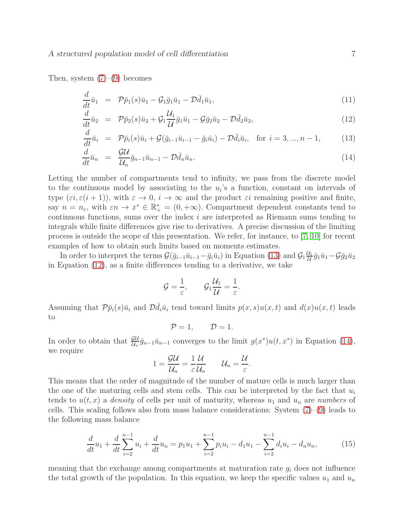Then, system  $(7)-(9)$  $(7)-(9)$  becomes

<span id="page-7-0"></span>
$$
\frac{d}{dt}\bar{u}_1 = \mathcal{P}\bar{p}_1(s)\bar{u}_1 - \mathcal{G}_1\bar{g}_1\bar{u}_1 - \mathcal{D}\bar{d}_1\bar{u}_1,\tag{11}
$$

$$
\frac{d}{dt}\bar{u}_2 = \mathcal{P}\bar{p}_2(s)\bar{u}_2 + \mathcal{G}_1\frac{\mathcal{U}_1}{\mathcal{U}}\bar{g}_1\bar{u}_1 - \mathcal{G}\bar{g}_2\bar{u}_2 - \mathcal{D}\bar{d}_2\bar{u}_2,\tag{12}
$$

$$
\frac{d}{dt}\bar{u}_i = \mathcal{P}\bar{p}_i(s)\bar{u}_i + \mathcal{G}(\bar{g}_{i-1}\bar{u}_{i-1} - \bar{g}_i\bar{u}_i) - \mathcal{D}\bar{d}_i\bar{u}_i, \text{ for } i = 3, ..., n-1,
$$
 (13)

$$
\frac{d}{dt}\bar{u}_n = \frac{\mathcal{G}\mathcal{U}}{\mathcal{U}_n}\bar{g}_{n-1}\bar{u}_{n-1} - \mathcal{D}\bar{d}_n\bar{u}_n.
$$
\n(14)

Letting the number of compartments tend to infinity, we pass from the discrete model to the continuous model by associating to the  $u_i$ 's a function, constant on intervals of type  $(\varepsilon i, \varepsilon (i + 1))$ , with  $\varepsilon \to 0$ ,  $i \to \infty$  and the product  $\varepsilon i$  remaining positive and finite, say  $n = n_{\varepsilon}$ , with  $\varepsilon n \to x^* \in \mathbb{R}_+^* = (0, +\infty)$ . Compartment dependent constants tend to continuous functions, sums over the index i are interpreted as Riemann sums tending to integrals while finite differences give rise to derivatives. A precise discussion of the limiting process is outside the scope of this presentation. We refer, for instance, to [\[7,](#page-28-8) [10\]](#page-28-9) for recent examples of how to obtain such limits based on moments estimates.

In order to interpret the terms  $\mathcal{G}(\bar{g}_{i-1}\bar{u}_{i-1}-\bar{g}_i\bar{u}_i)$  in Equation [\(13\)](#page-7-0) and  $\mathcal{G}_1\frac{\mu_1}{\mathcal{U}}$  $\frac{\partial^{}_{1}}{\partial^{}_{1}}\bar{g}_{1}\bar{u}_{1}$  — $\mathcal{G}\bar{g}_{2}\bar{u}_{2}$ in Equation [\(12\)](#page-7-0), as a finite differences tending to a derivative, we take

$$
\mathcal{G}=\frac{1}{\varepsilon},\qquad \mathcal{G}_1\frac{\mathcal{U}_1}{\mathcal{U}}=\frac{1}{\varepsilon}.
$$

Assuming that  $\mathcal{P}\bar{p}_i(s)\bar{u}_i$  and  $\mathcal{D}d_i\bar{u}_i$  tend toward limits  $p(x, s)u(x, t)$  and  $d(x)u(x, t)$  leads to

$$
\mathcal{P}=1,\qquad \mathcal{D}=1.
$$

In order to obtain that  $\frac{\mathcal{G}U}{\mathcal{U}_n}\bar{g}_{n-1}\bar{u}_{n-1}$  converges to the limit  $g(x^*)u(t, x^*)$  in Equation [\(14\)](#page-7-0), we require

$$
1=\frac{\mathcal{G}\mathcal{U}}{\mathcal{U}_n}=\frac{1}{\varepsilon}\frac{\mathcal{U}}{\mathcal{U}_n}\qquad \mathcal{U}_n=\frac{\mathcal{U}}{\varepsilon}.
$$

This means that the order of magnitude of the number of mature cells is much larger than the one of the maturing cells and stem cells. This can be interpreted by the fact that  $u_i$ tends to  $u(t, x)$  a *density* of cells per unit of maturity, whereas  $u_1$  and  $u_n$  are *numbers* of cells. This scaling follows also from mass balance considerations: System  $(7)-(9)$  $(7)-(9)$  leads to the following mass balance

$$
\frac{d}{dt}u_1 + \frac{d}{dt}\sum_{i=2}^{n-1} u_i + \frac{d}{dt}u_n = p_1u_1 + \sum_{i=2}^{n-1} p_iu_i - d_1u_1 - \sum_{i=2}^{n-1} d_iu_i - d_nu_n, \tag{15}
$$

meaning that the exchange among compartments at maturation rate  $g_i$  does not influence the total growth of the population. In this equation, we keep the specific values  $u_1$  and  $u_n$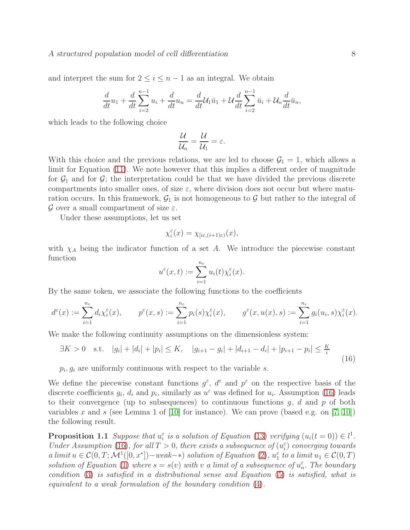and interpret the sum for  $2 \leq i \leq n-1$  as an integral. We obtain

$$
\frac{d}{dt}u_1 + \frac{d}{dt}\sum_{i=2}^{n-1}u_i + \frac{d}{dt}u_n = \frac{d}{dt}\mathcal{U}_1\bar{u}_1 + \mathcal{U}\frac{d}{dt}\sum_{i=2}^{n-1}\bar{u}_i + \mathcal{U}_n\frac{d}{dt}\bar{u}_n,
$$

which leads to the following choice

$$
\frac{\mathcal{U}}{\mathcal{U}_n}=\frac{\mathcal{U}}{\mathcal{U}_1}=\varepsilon.
$$

With this choice and the previous relations, we are led to choose  $\mathcal{G}_1 = 1$ , which allows a limit for Equation [\(11\)](#page-7-0). We note however that this implies a different order of magnitude for  $\mathcal{G}_1$  and for  $\mathcal{G}_2$ ; the interpretation could be that we have divided the previous discrete compartments into smaller ones, of size  $\varepsilon$ , where division does not occur but where maturation occurs. In this framework,  $\mathcal{G}_1$  is not homogeneous to  $\mathcal G$  but rather to the integral of G over a small compartment of size  $\varepsilon$ .

Under these assumptions, let us set

$$
\chi_i^{\varepsilon}(x)=\chi_{[i\varepsilon,(i+1)\varepsilon)}(x),
$$

with  $\chi_A$  being the indicator function of a set A. We introduce the piecewise constant function

<span id="page-8-0"></span>
$$
u^{\varepsilon}(x,t) := \sum_{i=1}^{n_{\varepsilon}} u_i(t) \chi_i^{\varepsilon}(x).
$$

By the same token, we associate the following functions to the coefficients

$$
d^{\varepsilon}(x) := \sum_{i=1}^{n_{\varepsilon}} d_i \chi_i^{\varepsilon}(x), \qquad p^{\varepsilon}(x, s) := \sum_{i=1}^{n_{\varepsilon}} p_i(s) \chi_i^{\varepsilon}(x), \qquad g^{\varepsilon}(x, u(x), s) := \sum_{i=1}^{n_{\varepsilon}} g_i(u_i, s) \chi_i^{\varepsilon}(x).
$$

We make the following continuity assumptions on the dimensionless system:

$$
\exists K > 0 \quad \text{s.t.} \quad |g_i| + |d_i| + |p_i| \le K, \quad |g_{i+1} - g_i| + |d_{i+1} - d_i| + |p_{i+1} - p_i| \le \frac{K}{i} \tag{16}
$$

 $p_i, g_i$  are uniformly continuous with respect to the variable s.

We define the piecewise constant functions  $g^{\varepsilon}$ ,  $d^{\varepsilon}$  and  $p^{\varepsilon}$  on the respective basis of the discrete coefficients  $g_i$ ,  $d_i$  and  $p_i$ , similarly as  $u^{\varepsilon}$  was defined for  $u_i$ . Assumption [\(16\)](#page-8-0) leads to their convergence (up to subsequences) to continuous functions  $g, d$  and  $p$  of both variables x and s (see Lemma 1 of [\[10\]](#page-28-9) for instance). We can prove (based e.g. on [\[7,](#page-28-8) [10\]](#page-28-9)) the following result.

**Proposition 1.1** *Suppose that*  $u_i^{\varepsilon}$  *is a solution of Equation* [\(13\)](#page-7-0) *verifying*  $(u_i(t = 0)) \in l^1$ . *Under Assumption* [\(16\)](#page-8-0), for all  $T > 0$ , there exists a subsequence of  $(u_i^{\varepsilon})$  converging towards *a limit*  $u \in C(0, T; \mathcal{M}^1([0, x^*])$  – weak- $*$ ) solution of Equation [\(2\)](#page-4-2),  $u_1^{\varepsilon}$  to a limit  $u_1 \in C(0, T)$ solution of Equation [\(1\)](#page-4-2) where  $s = s(v)$  with v a limit of a subsequence of  $u_n^{\varepsilon}$ . The boundary *condition* [\(3\)](#page-4-2) *is satisfied in a distributional sense and Equation* [\(5\)](#page-4-3) *is satisfied, what is equivalent to a weak formulation of the boundary condition* [\(4\)](#page-4-2)*.*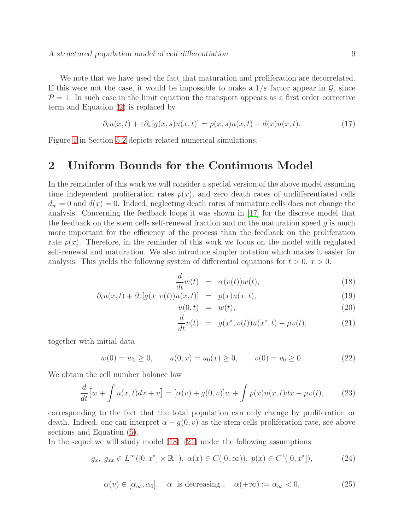We note that we have used the fact that maturation and proliferation are decorrelated. If this were not the case, it would be impossible to make a  $1/\varepsilon$  factor appear in  $\mathcal{G}$ , since  $P = 1$ . In such case in the limit equation the transport appears as a first order corrective term and Equation [\(2\)](#page-4-2) is replaced by

$$
\partial_t u(x,t) + \varepsilon \partial_x [g(x,s)u(x,t)] = p(x,s)u(x,t) - d(x)u(x,t). \tag{17}
$$

<span id="page-9-0"></span>Figure [1](#page-22-0) in Section [5.2](#page-20-0) depicts related numerical simulations.

### 2 Uniform Bounds for the Continuous Model

In the remainder of this work we will consider a special version of the above model assuming time independent proliferation rates  $p(x)$ , and zero death rates of undifferentiated cells  $d_w = 0$  and  $d(x) = 0$ . Indeed, neglecting death rates of immature cells does not change the analysis. Concerning the feedback loops it was shown in [\[17\]](#page-29-0) for the discrete model that the feedback on the stem cells self-renewal fraction and on the maturation speed  $q$  is much more important for the efficiency of the process than the feedback on the proliferation rate  $p(x)$ . Therefore, in the reminder of this work we focus on the model with regulated self-renewal and maturation. We also introduce simpler notation which makes it easier for analysis. This yields the following system of differential equations for  $t > 0$ ,  $x > 0$ .

<span id="page-9-1"></span>
$$
\frac{d}{dt}w(t) = \alpha(v(t))w(t),\tag{18}
$$

$$
\partial_t u(x,t) + \partial_x[g(x,v(t))u(x,t)] = p(x)u(x,t), \qquad (19)
$$

$$
u(0,t) = w(t), \tag{20}
$$

<span id="page-9-5"></span><span id="page-9-2"></span>
$$
\frac{d}{dt}v(t) = g(x^*, v(t))u(x^*, t) - \mu v(t),
$$
\n(21)

together with initial data

<span id="page-9-3"></span>
$$
w(0) = w_0 \ge 0, \qquad u(0, x) = u_0(x) \ge 0, \qquad v(0) = v_0 \ge 0. \tag{22}
$$

We obtain the cell number balance law

$$
\frac{d}{dt}\left[w+\int u(x,t)dx+v\right] = [\alpha(v)+g(0,v)]w+\int p(x)u(x,t)dx-\mu v(t),\qquad(23)
$$

corresponding to the fact that the total population can only change by proliferation or death. Indeed, one can interpret  $\alpha + g(0, v)$  as the stem cells proliferation rate, see above sections and Equation [\(5\)](#page-4-3).

<span id="page-9-4"></span>In the sequel we will study model  $(18)–(21)$  $(18)–(21)$  under the following assumptions

$$
g_x, \ g_{xx} \in L^{\infty}([0, x^*] \times \mathbb{R}^+), \ \alpha(x) \in C([0, \infty)), \ p(x) \in C^1([0, x^*]), \tag{24}
$$

$$
\alpha(v) \in [\alpha_{\infty}, \alpha_0], \quad \alpha \text{ is decreasing }, \quad \alpha(+\infty) := \alpha_{\infty} < 0,
$$
 (25)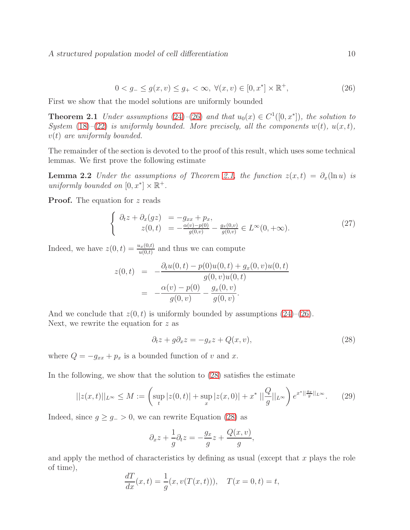<span id="page-10-1"></span>
$$
0 < g_- \le g(x, v) \le g_+ < \infty, \ \forall (x, v) \in [0, x^*] \times \mathbb{R}^+, \tag{26}
$$

<span id="page-10-0"></span>First we show that the model solutions are uniformly bounded

**Theorem 2.1** *Under assumptions*  $(24)$  – $(26)$  *and that*  $u_0(x) \in C^1([0, x^*])$ *, the solution to System* [\(18\)](#page-9-1)–[\(22\)](#page-9-3) *is uniformly bounded. More precisely, all the components*  $w(t)$ *,*  $u(x, t)$ *,* v(t) *are uniformly bounded.*

The remainder of the section is devoted to the proof of this result, which uses some technical lemmas. We first prove the following estimate

**Lemma 2.2** *Under the assumptions of Theorem [2.1,](#page-10-1) the function*  $z(x,t) = \partial_x(\ln u)$  *is uniformly bounded on*  $[0, x^*] \times \mathbb{R}^+$ .

**Proof.** The equation for z reads

<span id="page-10-3"></span>
$$
\begin{cases}\n\partial_t z + \partial_x (gz) &= -g_{xx} + p_x, \\
z(0, t) &= -\frac{\alpha(v) - p(0)}{g(0, v)} - \frac{g_x(0, v)}{g(0, v)} \in L^\infty(0, +\infty).\n\end{cases}
$$
\n(27)

Indeed, we have  $z(0, t) = \frac{u_x(0,t)}{u(0,t)}$  and thus we can compute

$$
z(0, t) = -\frac{\partial_t u(0, t) - p(0)u(0, t) + g_x(0, v)u(0, t)}{g(0, v)u(0, t)}
$$
  
= 
$$
-\frac{\alpha(v) - p(0)}{g(0, v)} - \frac{g_x(0, v)}{g(0, v)}.
$$

And we conclude that  $z(0, t)$  is uniformly bounded by assumptions  $(24)$ – $(26)$ . Next, we rewrite the equation for  $z$  as

<span id="page-10-2"></span>
$$
\partial_t z + g \partial_x z = -g_x z + Q(x, v), \tag{28}
$$

,

where  $Q = -g_{xx} + p_x$  is a bounded function of v and x.

In the following, we show that the solution to [\(28\)](#page-10-2) satisfies the estimate

$$
||z(x,t)||_{L^{\infty}} \le M := \left(\sup_{t} |z(0,t)| + \sup_{x} |z(x,0)| + x^* ||\frac{Q}{g}||_{L^{\infty}}\right) e^{x^*||\frac{gx}{g}||_{L^{\infty}}}.
$$
 (29)

Indeed, since  $g \ge g_{-} > 0$ , we can rewrite Equation [\(28\)](#page-10-2) as

$$
\partial_x z + \frac{1}{g} \partial_t z = -\frac{g_x}{g} z + \frac{Q(x, v)}{g}
$$

and apply the method of characteristics by defining as usual (except that  $x$  plays the role of time),

$$
\frac{dT}{dx}(x,t) = \frac{1}{g}(x, v(T(x,t))), \quad T(x = 0, t) = t,
$$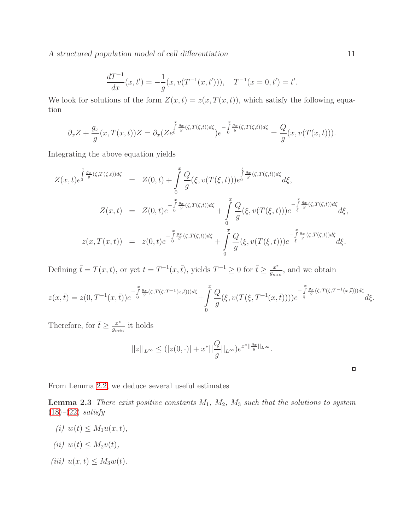A structured population model of cell differentiation 11

$$
\frac{dT^{-1}}{dx}(x,t') = -\frac{1}{g}(x,v(T^{-1}(x,t'))), \quad T^{-1}(x=0,t') = t'.
$$

We look for solutions of the form  $Z(x,t) = z(x, T(x,t))$ , which satisfy the following equation

$$
\partial_x Z + \frac{g_x}{g}(x, T(x, t))Z = \partial_x (Ze^{0\overline{\int_{g}^{x} \frac{g_x}{g}(\zeta, T(\zeta, t))d\zeta}})e^{-\int_{0}^{x} \frac{g_x}{g}(\zeta, T(\zeta, t))d\zeta} = \frac{Q}{g}(x, v(T(x, t))).
$$

Integrating the above equation yields

$$
Z(x,t)e^{\int_{0}^{x} \frac{g_x}{g}(\zeta,T(\zeta,t))d\zeta} = Z(0,t) + \int_{0}^{x} \frac{Q}{g}(\xi, v(T(\xi,t)))e^{\int_{0}^{\xi} \frac{g_x}{g}(\zeta,T(\zeta,t))d\zeta}d\xi,
$$
  

$$
Z(x,t) = Z(0,t)e^{-\int_{0}^{x} \frac{g_x}{g}(\zeta,T(\zeta,t))d\zeta} + \int_{0}^{x} \frac{Q}{g}(\xi, v(T(\xi,t)))e^{-\int_{\xi}^{x} \frac{g_x}{g}(\zeta,T(\zeta,t))d\zeta}d\xi,
$$
  

$$
z(x,T(x,t)) = z(0,t)e^{-\int_{0}^{x} \frac{g_x}{g}(\zeta,T(\zeta,t))d\zeta} + \int_{0}^{x} \frac{Q}{g}(\xi, v(T(\xi,t)))e^{-\int_{\xi}^{x} \frac{g_x}{g}(\zeta,T(\zeta,t))d\zeta}d\xi.
$$

Defining  $\bar{t} = T(x, t)$ , or yet  $t = T^{-1}(x, \bar{t})$ , yields  $T^{-1} \geq 0$  for  $\bar{t} \geq \frac{x^*}{g_{mi}}$  $\frac{x^*}{g_{min}}$ , and we obtain

$$
z(x,\bar{t}) = z(0,T^{-1}(x,\bar{t}))e^{-\int_{0}^{x} \frac{g_x}{g}(\zeta,T(\zeta,T^{-1}(x,\bar{t})))d\zeta} + \int_{0}^{x} \frac{Q}{g}(\xi,v(T(\xi,T^{-1}(x,\bar{t}))))e^{-\int_{\xi}^{x} \frac{g_x}{g}(\zeta,T(\zeta,T^{-1}(x,\bar{t})))d\zeta}d\xi.
$$

Therefore, for  $\bar{t} \geq \frac{x^*}{g_{mi}}$  $\frac{x^*}{g_{min}}$  it holds

<span id="page-11-0"></span>
$$
||z||_{L^{\infty}} \le (|z(0, \cdot)| + x^*||\frac{Q}{g}||_{L^{\infty}})e^{x^*||\frac{g_x}{g}||_{L^{\infty}}}.
$$

 $\Box$ 

From Lemma [2.2,](#page-10-3) we deduce several useful estimates

Lemma 2.3 *There exist positive constants* M1*,* M2*,* M<sup>3</sup> *such that the solutions to system* [\(18\)](#page-9-1)*–*[\(22\)](#page-9-3) *satisfy*

- $(i) w(t) \leq M_1 u(x, t)$ ,
- $(iii) w(t) \leq M_2v(t)$ ,
- *(iii)*  $u(x, t) \leq M_3w(t)$ .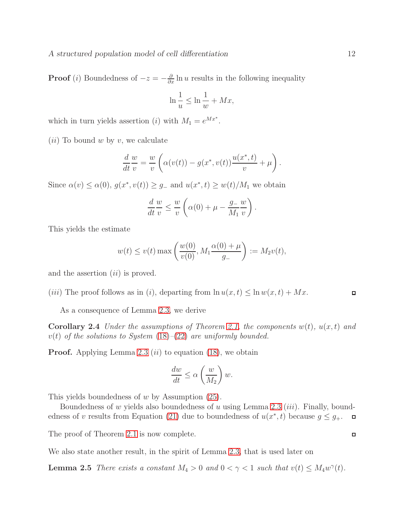**Proof** (*i*) Boundedness of  $-z = -\frac{\partial}{\partial x} \ln u$  results in the following inequality

$$
\ln\frac{1}{u} \le \ln\frac{1}{w} + Mx,
$$

which in turn yields assertion (*i*) with  $M_1 = e^{Mx^*}$ .

 $(ii)$  To bound w by v, we calculate

$$
\frac{d}{dt}\frac{w}{v} = \frac{w}{v}\left(\alpha(v(t)) - g(x^*, v(t))\frac{u(x^*, t)}{v} + \mu\right).
$$

Since  $\alpha(v) \leq \alpha(0)$ ,  $g(x^*, v(t)) \geq g$  and  $u(x^*, t) \geq w(t)/M_1$  we obtain

$$
\frac{d}{dt}\frac{w}{v} \le \frac{w}{v}\left(\alpha(0) + \mu - \frac{g_-}{M_1}\frac{w}{v}\right).
$$

This yields the estimate

$$
w(t) \le v(t) \max \left( \frac{w(0)}{v(0)}, M_1 \frac{\alpha(0) + \mu}{g_-} \right) := M_2 v(t),
$$

and the assertion  $(ii)$  is proved.

(*iii*) The proof follows as in (*i*), departing from  $\ln u(x, t) \leq \ln w(x, t) + Mx$ .

As a consequence of Lemma [2.3,](#page-11-0) we derive

**Corollary 2.4** *Under the assumptions of Theorem [2.1,](#page-10-1) the components*  $w(t)$ *,*  $u(x,t)$  *and* v(t) *of the solutions to System* [\(18\)](#page-9-1)*–*[\(22\)](#page-9-3) *are uniformly bounded.*

**Proof.** Applying Lemma [2.3](#page-11-0) (*ii*) to equation [\(18\)](#page-9-1), we obtain

$$
\frac{dw}{dt} \le \alpha \left(\frac{w}{M_2}\right)w.
$$

This yields boundedness of  $w$  by Assumption  $(25)$ .

Boundedness of w yields also boundedness of u using Lemma [2.3](#page-11-0) *(iii)*. Finally, bound-edness of v results from Equation [\(21\)](#page-9-1) due to boundedness of  $u(x^*, t)$  because  $g \leq g_+$ .  $\Box$ 

The proof of Theorem [2.1](#page-10-1) is now complete.

We also state another result, in the spirit of Lemma [2.3,](#page-11-0) that is used later on

**Lemma 2.5** *There exists a constant*  $M_4 > 0$  *and*  $0 < \gamma < 1$  *such that*  $v(t) \leq M_4 w^{\gamma}(t)$ *.* 

$$
\Box
$$

<span id="page-12-0"></span> $\Box$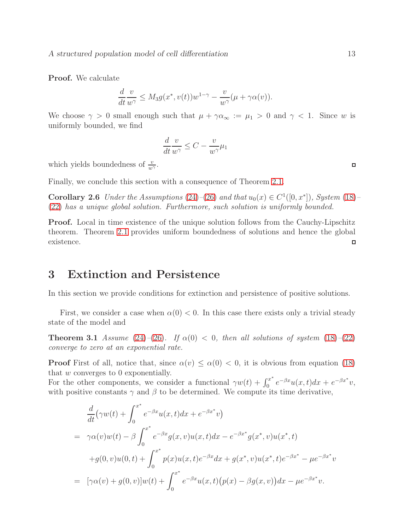Proof. We calculate

$$
\frac{d}{dt}\frac{v}{w^{\gamma}} \le M_3 g(x^*, v(t))w^{1-\gamma} - \frac{v}{w^{\gamma}}(\mu + \gamma \alpha(v)).
$$

We choose  $\gamma > 0$  small enough such that  $\mu + \gamma \alpha_{\infty} := \mu_1 > 0$  and  $\gamma < 1$ . Since w is uniformly bounded, we find

$$
\frac{d}{dt}\frac{v}{w^{\gamma}} \leq C - \frac{v}{w^{\gamma}}\mu_1
$$

which yields boundedness of  $\frac{v}{w^{\gamma}}$ .

Finally, we conclude this section with a consequence of Theorem [2.1.](#page-10-1)

**Corollary 2.6** *Under the Assumptions* [\(24\)](#page-9-2)–[\(26\)](#page-10-0) and that  $u_0(x) \in C^1([0, x^*])$ , System [\(18\)](#page-9-1)– [\(22\)](#page-9-3) *has a unique global solution. Furthermore, such solution is uniformly bounded.*

**Proof.** Local in time existence of the unique solution follows from the Cauchy-Lipschitz theorem. Theorem [2.1](#page-10-1) provides uniform boundedness of solutions and hence the global existence.  $\Box$ 

## <span id="page-13-0"></span>3 Extinction and Persistence

In this section we provide conditions for extinction and persistence of positive solutions.

First, we consider a case when  $\alpha(0) < 0$ . In this case there exists only a trivial steady state of the model and

**Theorem 3.1** *Assume* [\(24\)](#page-9-2)–[\(26\)](#page-10-0)*.* If  $\alpha(0) < 0$ *, then all solutions of system* [\(18\)](#page-9-1)–[\(22\)](#page-9-3) *converge to zero at an exponential rate.*

**Proof** First of all, notice that, since  $\alpha(v) \leq \alpha(0) < 0$ , it is obvious from equation [\(18\)](#page-9-1) that w converges to 0 exponentially.

For the other components, we consider a functional  $\gamma w(t) + \int_0^{x^*}$  $e^{-\beta x}u(x,t)dx + e^{-\beta x^*}v,$ with positive constants  $\gamma$  and  $\beta$  to be determined. We compute its time derivative,

$$
\frac{d}{dt}(\gamma w(t) + \int_0^{x^*} e^{-\beta x} u(x, t) dx + e^{-\beta x^*} v)
$$
\n
$$
= \gamma \alpha(v)w(t) - \beta \int_0^{x^*} e^{-\beta x} g(x, v) u(x, t) dx - e^{-\beta x^*} g(x^*, v) u(x^*, t)
$$
\n
$$
+ g(0, v)u(0, t) + \int_0^{x^*} p(x)u(x, t) e^{-\beta x} dx + g(x^*, v)u(x^*, t) e^{-\beta x^*} - \mu e^{-\beta x^*} v
$$
\n
$$
= [\gamma \alpha(v) + g(0, v)]w(t) + \int_0^{x^*} e^{-\beta x} u(x, t) (p(x) - \beta g(x, v)) dx - \mu e^{-\beta x^*} v.
$$

 $\Box$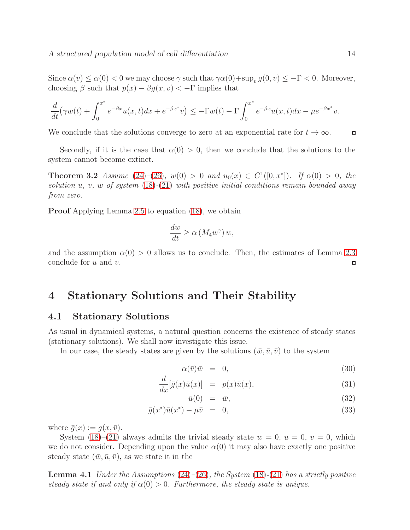Since  $\alpha(v) \leq \alpha(0) < 0$  we may choose  $\gamma$  such that  $\gamma \alpha(0) + \sup_v g(0, v) \leq -\Gamma < 0$ . Moreover, choosing  $\beta$  such that  $p(x) - \beta q(x, v) < -\Gamma$  implies that

$$
\frac{d}{dt}\left(\gamma w(t) + \int_0^{x^*} e^{-\beta x} u(x,t) dx + e^{-\beta x^*} v\right) \le -\Gamma w(t) - \Gamma \int_0^{x^*} e^{-\beta x} u(x,t) dx - \mu e^{-\beta x^*} v.
$$

We conclude that the solutions converge to zero at an exponential rate for  $t \to \infty$ .  $\Box$ 

Secondly, if it is the case that  $\alpha(0) > 0$ , then we conclude that the solutions to the system cannot become extinct.

**Theorem 3.2** *Assume* [\(24\)](#page-9-2)–[\(26\)](#page-10-0)*,*  $w(0) > 0$  *and*  $u_0(x) \in C^1([0, x^*])$ *.* If  $\alpha(0) > 0$ *, the solution* u*,* v*,* w *of system* [\(18\)](#page-9-1)*-*[\(21\)](#page-9-1) *with positive initial conditions remain bounded away from zero.*

Proof Applying Lemma [2.5](#page-12-0) to equation [\(18\)](#page-9-1), we obtain

$$
\frac{dw}{dt} \ge \alpha \left( M_4 w^{\gamma} \right) w,
$$

and the assumption  $\alpha(0) > 0$  allows us to conclude. Then, the estimates of Lemma [2.3](#page-11-0) conclude for u and v.  $\Box$ 

## <span id="page-14-0"></span>4 Stationary Solutions and Their Stability

### <span id="page-14-1"></span>4.1 Stationary Solutions

As usual in dynamical systems, a natural question concerns the existence of steady states (stationary solutions). We shall now investigate this issue.

In our case, the steady states are given by the solutions  $(\bar{w}, \bar{u}, \bar{v})$  to the system

<span id="page-14-2"></span>
$$
\alpha(\bar{v})\bar{w} = 0, \tag{30}
$$

$$
\frac{d}{dx}[\bar{g}(x)\bar{u}(x)] = p(x)\bar{u}(x),\tag{31}
$$

$$
\bar{u}(0) = \bar{w}, \tag{32}
$$

$$
\bar{g}(x^*)\bar{u}(x^*) - \mu \bar{v} = 0, \qquad (33)
$$

where  $\bar{g}(x) := g(x, \bar{v}).$ 

System  $(18)$ – $(21)$  always admits the trivial steady state  $w = 0$ ,  $u = 0$ ,  $v = 0$ , which we do not consider. Depending upon the value  $\alpha(0)$  it may also have exactly one positive steady state  $(\bar{w}, \bar{u}, \bar{v})$ , as we state it in the

<span id="page-14-3"></span>Lemma 4.1 *Under the Assumptions* [\(24\)](#page-9-2)*–*[\(26\)](#page-10-0)*, the System* [\(18\)](#page-9-1)*-*[\(21\)](#page-9-1) *has a strictly positive steady state if and only if*  $\alpha(0) > 0$ *. Furthermore, the steady state is unique.*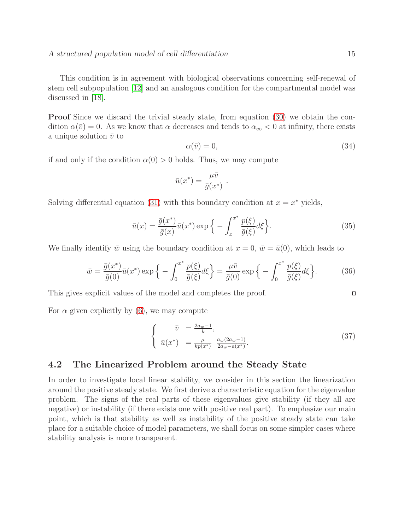This condition is in agreement with biological observations concerning self-renewal of stem cell subpopulation [\[12\]](#page-29-8) and an analogous condition for the compartmental model was discussed in [\[18\]](#page-29-7).

Proof Since we discard the trivial steady state, from equation [\(30\)](#page-14-2) we obtain the condition  $\alpha(\bar{v}) = 0$ . As we know that  $\alpha$  decreases and tends to  $\alpha_{\infty} < 0$  at infinity, there exists a unique solution  $\bar{v}$  to

<span id="page-15-2"></span>
$$
\alpha(\bar{v}) = 0,\tag{34}
$$

if and only if the condition  $\alpha(0) > 0$  holds. Thus, we may compute

$$
\bar{u}(x^*) = \frac{\mu \bar{v}}{\bar{g}(x^*)} .
$$

Solving differential equation [\(31\)](#page-14-2) with this boundary condition at  $x = x^*$  yields,

$$
\bar{u}(x) = \frac{\bar{g}(x^*)}{\bar{g}(x)} \bar{u}(x^*) \exp\left\{-\int_x^{x^*} \frac{p(\xi)}{\bar{g}(\xi)} d\xi\right\}.
$$
\n(35)

We finally identify  $\bar{w}$  using the boundary condition at  $x = 0$ ,  $\bar{w} = \bar{u}(0)$ , which leads to

$$
\bar{w} = \frac{\bar{g}(x^*)}{\bar{g}(0)} \bar{u}(x^*) \exp\left\{-\int_0^{x^*} \frac{p(\xi)}{\bar{g}(\xi)} d\xi\right\} = \frac{\mu \bar{v}}{\bar{g}(0)} \exp\left\{-\int_0^{x^*} \frac{p(\xi)}{\bar{g}(\xi)} d\xi\right\}.
$$
 (36)

This gives explicit values of the model and completes the proof.

For  $\alpha$  given explicitly by [\(6\)](#page-5-0), we may compute

$$
\begin{cases}\n\bar{v} = \frac{2a_w - 1}{k}, \n\bar{u}(x^*) = \frac{\mu}{kp(x^*)} \frac{a_w(2a_w - 1)}{2a_w - a(x^*)}.\n\end{cases}
$$
\n(37)

### <span id="page-15-0"></span>4.2 The Linearized Problem around the Steady State

In order to investigate local linear stability, we consider in this section the linearization around the positive steady state. We first derive a characteristic equation for the eigenvalue problem. The signs of the real parts of these eigenvalues give stability (if they all are negative) or instability (if there exists one with positive real part). To emphasize our main point, which is that stability as well as instability of the positive steady state can take place for a suitable choice of model parameters, we shall focus on some simpler cases where stability analysis is more transparent.

<span id="page-15-3"></span><span id="page-15-1"></span> $\Box$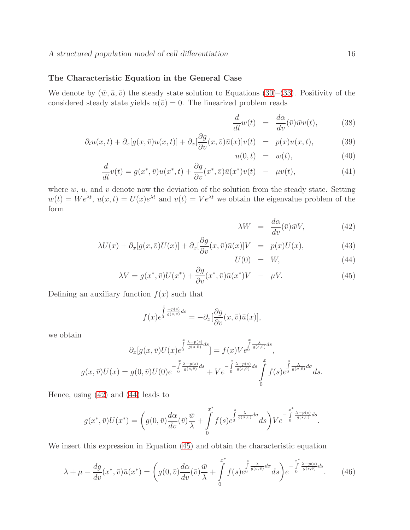#### The Characteristic Equation in the General Case

We denote by  $(\bar{w}, \bar{u}, \bar{v})$  the steady state solution to Equations [\(30\)](#page-14-2)–[\(33\)](#page-14-2). Positivity of the considered steady state yields  $\alpha(\bar{v}) = 0$ . The linearized problem reads

$$
\frac{d}{dt}w(t) = \frac{d\alpha}{dv}(\bar{v})\bar{w}v(t),
$$
\n(38)

$$
\partial_t u(x,t) + \partial_x[g(x,\bar{v})u(x,t)] + \partial_x[\frac{\partial g}{\partial v}(x,\bar{v})\bar{u}(x)]v(t) = p(x)u(x,t),\tag{39}
$$

$$
u(0,t) = w(t), \qquad (40)
$$

$$
\frac{d}{dt}v(t) = g(x^*, \bar{v})u(x^*, t) + \frac{\partial g}{\partial v}(x^*, \bar{v})\bar{u}(x^*)v(t) - \mu v(t),\tag{41}
$$

where  $w, u$ , and  $v$  denote now the deviation of the solution from the steady state. Setting  $w(t) = We^{\lambda t}$ ,  $u(x,t) = U(x)e^{\lambda t}$  and  $v(t) = Ve^{\lambda t}$  we obtain the eigenvalue problem of the form

<span id="page-16-0"></span>
$$
\lambda W = \frac{d\alpha}{dv}(\bar{v})\bar{w}V, \qquad (42)
$$

$$
\lambda U(x) + \partial_x[g(x,\bar{v})U(x)] + \partial_x[\frac{\partial g}{\partial v}(x,\bar{v})\bar{u}(x)]V = p(x)U(x),\tag{43}
$$

<span id="page-16-1"></span>
$$
U(0) = W, \tag{44}
$$

$$
\lambda V = g(x^*, \bar{v})U(x^*) + \frac{\partial g}{\partial v}(x^*, \bar{v})\bar{u}(x^*)V - \mu V.
$$
\n(45)

Defining an auxiliary function  $f(x)$  such that

$$
f(x)e^{\int\limits_0^x \frac{-p(s)}{g(s,\bar{v})}ds} = -\partial_x[\frac{\partial g}{\partial v}(x,\bar{v})\bar{u}(x)],
$$

we obtain

$$
\partial_x[g(x,\bar{v})U(x)e^{\int\limits_0^x \frac{\lambda-p(s)}{g(s,\bar{v})}ds}] = f(x)V e^{\int\limits_0^x \frac{\lambda}{g(s,\bar{v})}ds},
$$

$$
g(x,\bar{v})U(x) = g(0,\bar{v})U(0)e^{-\int\limits_0^x \frac{\lambda-p(s)}{g(s,\bar{v})}ds} + V e^{-\int\limits_0^x \frac{\lambda-p(s)}{g(s,\bar{v})}ds} \int\limits_0^x f(s)e^{\int\limits_0^s \frac{\lambda}{g(\sigma,\bar{v})}d\sigma}ds.
$$

Hence, using [\(42\)](#page-16-0) and [\(44\)](#page-16-0) leads to

$$
g(x^*, \bar{v})U(x^*) = \left(g(0, \bar{v})\frac{d\alpha}{dv}(\bar{v})\frac{\bar{w}}{\lambda} + \int\limits_0^{x^*} f(s)e^{\int\limits_0^s \frac{\lambda}{g(\sigma, \bar{v})}d\sigma}ds\right)V e^{-\int\limits_0^{x^*} \frac{\lambda - p(s)}{g(s, \bar{v})}ds}.
$$

We insert this expression in Equation [\(45\)](#page-16-0) and obtain the characteristic equation

$$
\lambda + \mu - \frac{dg}{dv}(x^*, \bar{v})\bar{u}(x^*) = \left(g(0, \bar{v})\frac{d\alpha}{dv}(\bar{v})\frac{\bar{w}}{\lambda} + \int_0^{x^*} f(s)e^{\int_0^s \frac{\lambda}{g(\sigma, \bar{v})}d\sigma}ds\right)e^{-\int_0^{x^*} \frac{\lambda - p(s)}{g(s, \bar{v})}ds}.
$$
(46)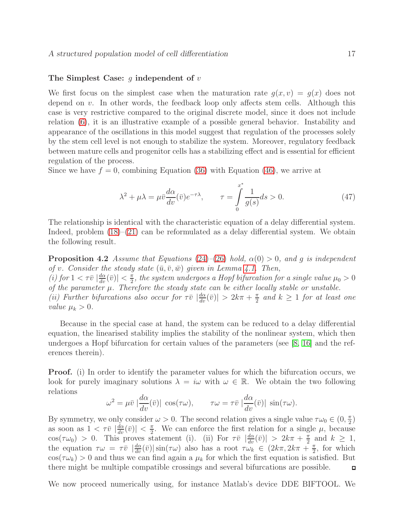#### The Simplest Case: q independent of  $v$

We first focus on the simplest case when the maturation rate  $q(x, v) = q(x)$  does not depend on v. In other words, the feedback loop only affects stem cells. Although this case is very restrictive compared to the original discrete model, since it does not include relation [\(6\)](#page-5-0), it is an illustrative example of a possible general behavior. Instability and appearance of the oscillations in this model suggest that regulation of the processes solely by the stem cell level is not enough to stabilize the system. Moreover, regulatory feedback between mature cells and progenitor cells has a stabilizing effect and is essential for efficient regulation of the process.

Since we have  $f = 0$ , combining Equation [\(36\)](#page-15-1) with Equation [\(46\)](#page-16-1), we arrive at

$$
\lambda^2 + \mu \lambda = \mu \bar{v} \frac{d\alpha}{dv} (\bar{v}) e^{-\tau \lambda}, \qquad \tau = \int_0^{x^*} \frac{1}{g(s)} ds > 0.
$$
 (47)

The relationship is identical with the characteristic equation of a delay differential system. Indeed, problem  $(18)$ – $(21)$  can be reformulated as a delay differential system. We obtain the following result.

<span id="page-17-0"></span>**Proposition 4.2** *Assume that Equations* [\(24\)](#page-9-2)–[\(26\)](#page-10-0) *hold,*  $\alpha(0) > 0$ *, and q is independent of* v. Consider the steady state  $(\bar{u}, \bar{v}, \bar{w})$  given in Lemma [4.1.](#page-14-3) Then,  $(i)$  for  $1 < \tau \bar{v} \left| \frac{d\alpha}{dv}(\bar{v}) \right| \leq \frac{\pi}{2}$  $\frac{\pi}{2}$ , the system undergoes a Hopf bifurcation for a single value  $\mu_0 > 0$ *of the parameter* µ*. Therefore the steady state can be either locally stable or unstable.* (*ii*) Further bifurcations also occur for  $\tau \bar{v} \mid \frac{d\alpha}{dv}(\bar{v}) \mid > 2k\pi + \frac{\pi}{2}$  $\frac{\pi}{2}$  and  $k \geq 1$  for at least one *value*  $\mu_k > 0$ .

Because in the special case at hand, the system can be reduced to a delay differential equation, the linearised stability implies the stability of the nonlinear system, which then undergoes a Hopf bifurcation for certain values of the parameters (see [\[8,](#page-28-10) [16\]](#page-29-9) and the references therein).

**Proof.** (i) In order to identify the parameter values for which the bifurcation occurs, we look for purely imaginary solutions  $\lambda = i\omega$  with  $\omega \in \mathbb{R}$ . We obtain the two following relations

$$
\omega^2 = \mu \bar{v} \left| \frac{d\alpha}{dv}(\bar{v}) \right| \cos(\tau \omega), \qquad \tau \omega = \tau \bar{v} \left| \frac{d\alpha}{dv}(\bar{v}) \right| \sin(\tau \omega).
$$

By symmetry, we only consider  $\omega > 0$ . The second relation gives a single value  $\tau \omega_0 \in (0, \frac{\pi}{2})$  $\frac{\pi}{2})$ as soon as  $1 < \tau \bar{v} \left| \frac{d\alpha}{dv}(\bar{v}) \right| < \frac{\pi}{2}$  $\frac{\pi}{2}$ . We can enforce the first relation for a single  $\mu$ , because  $\cos(\tau \omega_0) > 0$ . This proves statement (i). (ii) For  $\tau \bar{v} \left| \frac{d\alpha}{dv}(\bar{v}) \right| > 2k\pi + \frac{\pi}{2}$  $\frac{\pi}{2}$  and  $k \geq 1$ , the equation  $\tau \omega = \tau \bar{v} \left| \frac{d\alpha}{dv}(\bar{v}) \right| \sin(\tau \omega)$  also has a root  $\tau \omega_k \in (2k\pi, 2k\pi + \frac{\pi}{2})$  $\frac{\pi}{2}$ , for which  $\cos(\tau \omega_k) > 0$  and thus we can find again a  $\mu_k$  for which the first equation is satisfied. But there might be multiple compatible crossings and several bifurcations are possible.  $\Box$ 

We now proceed numerically using, for instance Matlab's device DDE BIFTOOL. We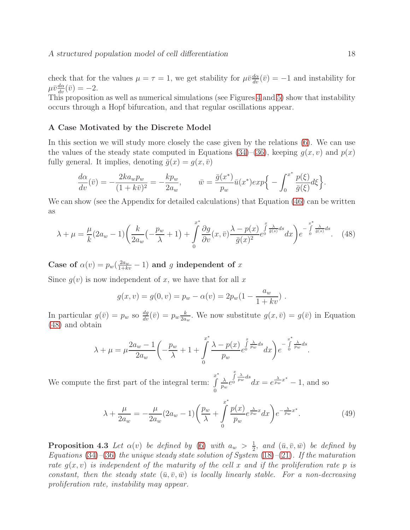check that for the values  $\mu = \tau = 1$ , we get stability for  $\mu \bar{v} \frac{d\alpha}{dv}(\bar{v}) = -1$  and instability for  $\mu \bar{v} \frac{d\alpha}{dv}(\bar{v}) = -2.$ 

This proposition as well as numerical simulations (see Figures [4](#page-24-0) and [5\)](#page-25-2) show that instability occurs through a Hopf bifurcation, and that regular oscillations appear.

#### <span id="page-18-0"></span>A Case Motivated by the Discrete Model

In this section we will study more closely the case given by the relations [\(6\)](#page-5-0). We can use the values of the steady state computed in Equations [\(34\)](#page-15-2)–[\(36\)](#page-15-1), keeping  $q(x, v)$  and  $p(x)$ fully general. It implies, denoting  $\bar{g}(x) = g(x, \bar{v})$ 

$$
\frac{d\alpha}{dv}(\bar{v}) = -\frac{2ka_w p_w}{(1+k\bar{v})^2} = -\frac{kp_w}{2a_w}, \qquad \bar{w} = \frac{\bar{g}(x^*)}{p_w}\bar{u}(x^*)exp\Big\{-\int_0^{x^*} \frac{p(\xi)}{\bar{g}(\xi)}d\xi\Big\}.
$$

<span id="page-18-1"></span>We can show (see the Appendix for detailed calculations) that Equation [\(46\)](#page-16-1) can be written as

$$
\lambda + \mu = \frac{\mu}{k} (2a_w - 1) \left( \frac{k}{2a_w} \left( -\frac{p_w}{\lambda} + 1 \right) + \int_0^{x^*} \frac{\partial g}{\partial v} (x, \bar{v}) \frac{\lambda - p(x)}{\bar{g}(x)^2} e^{\int_0^x \frac{\lambda}{\bar{g}(s)} ds} dx \right) e^{-\int_0^{x^*} \frac{\lambda}{\bar{g}(s)} ds}.
$$
 (48)

Case of  $\alpha(v) = p_w(\frac{2a_w}{1+kv} - 1)$  and g independent of x

Since  $g(v)$  is now independent of x, we have that for all x

$$
g(x, v) = g(0, v) = p_w - \alpha(v) = 2p_w(1 - \frac{a_w}{1 + kv}).
$$

In particular  $g(\bar{v}) = p_w$  so  $\frac{dg}{dv}(\bar{v}) = p_w \frac{k}{2a}$  $\frac{k}{2a_w}$ . We now substitute  $g(x, \bar{v}) = g(\bar{v})$  in Equation [\(48\)](#page-18-1) and obtain

$$
\lambda + \mu = \mu \frac{2a_w - 1}{2a_w} \left( -\frac{p_w}{\lambda} + 1 + \int\limits_0^{x^*} \frac{\lambda - p(x)}{p_w} e^{\int\limits_0^x \frac{\lambda}{p_w} ds} dx \right) e^{-\int\limits_0^{x^*} \frac{\lambda}{p_w} ds}.
$$

We compute the first part of the integral term: x ∗ R  $\theta$ λ  $\frac{\lambda}{p_w}e$  $\int\limits_{0}^{x}$  $\frac{\lambda}{p_w} ds$ <br> $dx = e^{\frac{\lambda}{p_w}x^*} - 1$ , and so

<span id="page-18-3"></span>
$$
\lambda + \frac{\mu}{2a_w} = -\frac{\mu}{2a_w} (2a_w - 1) \left( \frac{p_w}{\lambda} + \int_0^{x^*} \frac{p(x)}{p_w} e^{\frac{\lambda}{p_w} x} dx \right) e^{-\frac{\lambda}{p_w} x^*}. \tag{49}
$$

<span id="page-18-2"></span>**Proposition 4.3** Let  $\alpha(v)$  be defined by [\(6\)](#page-5-0) with  $a_w > \frac{1}{2}$  $\frac{1}{2}$ , and  $(\bar{u}, \bar{v}, \bar{w})$  be defined by *Equations* [\(34\)](#page-15-2)*–*[\(36\)](#page-15-1) *the unique steady state solution of System* [\(18\)](#page-9-1)*–*[\(21\)](#page-9-1)*. If the maturation rate*  $g(x, v)$  *is independent of the maturity of the cell* x and *if the proliferation rate* p *is constant, then the steady state*  $(\bar{u}, \bar{v}, \bar{w})$  *is locally linearly stable. For a non-decreasing proliferation rate, instability may appear.*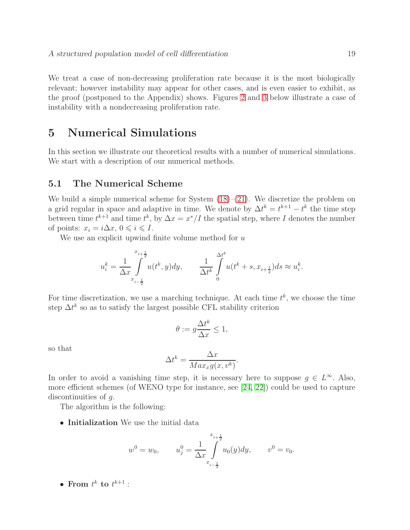We treat a case of non-decreasing proliferation rate because it is the most biologically relevant; however instability may appear for other cases, and is even easier to exhibit, as the proof (postponed to the Appendix) shows. Figures [2](#page-23-0) and [3](#page-23-1) below illustrate a case of instability with a nondecreasing proliferation rate.

## <span id="page-19-0"></span>5 Numerical Simulations

In this section we illustrate our theoretical results with a number of numerical simulations. We start with a description of our numerical methods.

### <span id="page-19-1"></span>5.1 The Numerical Scheme

We build a simple numerical scheme for System  $(18)–(21)$  $(18)–(21)$ . We discretize the problem on a grid regular in space and adaptive in time. We denote by  $\Delta t^k = t^{k+1} - t^k$  the time step between time  $t^{k+1}$  and time  $t^k$ , by  $\Delta x = x^*/I$  the spatial step, where I denotes the number of points:  $x_i = i\Delta x, 0 \leq i \leq I$ .

We use an explicit upwind finite volume method for  $u$ 

$$
u_i^k=\frac{1}{\Delta x}\int\limits_{x_{i-\frac{1}{2}}}^{x_{i+\frac{1}{2}}}u(t^k,y)dy,\qquad \frac{1}{\Delta t^k}\int\limits_{0}^{\Delta t^k}u(t^k+s,x_{i+\frac{1}{2}})ds\approx u_i^k.
$$

For time discretization, we use a marching technique. At each time  $t^k$ , we choose the time step  $\Delta t^k$  so as to satisfy the largest possible CFL stability criterion

$$
\theta:=g\frac{\Delta t^k}{\Delta x}\leq 1,
$$

so that

$$
\Delta t^k = \frac{\Delta x}{Max_x g(x, v^k)}
$$

.

In order to avoid a vanishing time step, it is necessary here to suppose  $g \in L^{\infty}$ . Also, more efficient schemes (of WENO type for instance, see [\[24,](#page-29-10) [22\]](#page-29-11)) could be used to capture discontinuities of g.

The algorithm is the following:

• Initialization We use the initial data

$$
w^{0} = w_{0}, \qquad u_{j}^{0} = \frac{1}{\Delta x} \int_{x_{i-\frac{1}{2}}}^{x_{i+\frac{1}{2}}} u_{0}(y) dy, \qquad v^{0} = v_{0}.
$$

• From  $t^k$  to  $t^{k+1}$  :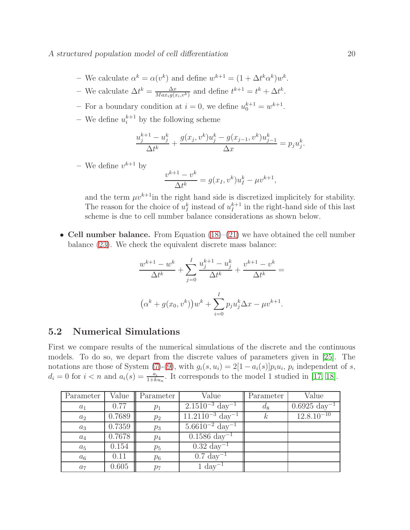A structured population model of cell differentiation 20

- We calculate  $\alpha^k = \alpha(v^k)$  and define  $w^{k+1} = (1 + \Delta t^k \alpha^k) w^k$ .
- We calculate  $\Delta t^k = \frac{\Delta x}{Max_{i}g(x)}$  $\frac{\Delta x}{\Delta x_i g(x_i, v^k)}$  and define  $t^{k+1} = t^k + \Delta t^k$ .
- For a boundary condition at  $i = 0$ , we define  $u_0^{k+1} = w^{k+1}$ .
- We define  $u_i^{k+1}$  by the following scheme

$$
\frac{u_j^{k+1} - u_j^k}{\Delta t^k} + \frac{g(x_j, v^k)u_j^k - g(x_{j-1}, v^k)u_{j-1}^k}{\Delta x} = p_j u_j^k.
$$

– We define  $v^{k+1}$  by

$$
\frac{v^{k+1} - v^k}{\Delta t^k} = g(x_I, v^k)u_I^k - \mu v^{k+1},
$$

and the term  $\mu v^{k+1}$  in the right hand side is discretized implicitely for stability. The reason for the choice of  $u_I^k$  instead of  $u_I^{k+1}$  $I_I^{k+1}$  in the right-hand side of this last scheme is due to cell number balance considerations as shown below.

• Cell number balance. From Equation  $(18)-(21)$  $(18)-(21)$  we have obtained the cell number balance [\(23\)](#page-9-5). We check the equivalent discrete mass balance:

$$
\frac{w^{k+1} - w^k}{\Delta t^k} + \sum_{j=0}^I \frac{u_j^{k+1} - u_j^k}{\Delta t^k} + \frac{v^{k+1} - v^k}{\Delta t^k} =
$$

$$
(\alpha^k + g(x_0, v^k))w^k + \sum_{i=0}^I p_j u_j^k \Delta x - \mu v^{k+1}.
$$

### <span id="page-20-0"></span>5.2 Numerical Simulations

First we compare results of the numerical simulations of the discrete and the continuous models. To do so, we depart from the discrete values of parameters given in [\[25\]](#page-29-12). The notations are those of System [\(7\)](#page-6-1)-[\(9\)](#page-6-1), with  $g_i(s, u_i) = 2[1 - a_i(s)]p_iu_i$ ,  $p_i$  independent of s,  $d_i = 0$  for  $i < n$  and  $a_i(s) = \frac{a_i}{1+ku_n}$ . It corresponds to the model 1 studied in [\[17,](#page-29-0) [18\]](#page-29-7).

| Parameter | Value  | Parameter | Value                                  | Parameter | Value                     |
|-----------|--------|-----------|----------------------------------------|-----------|---------------------------|
| $a_1$     | 0.77   | $p_1$     | $2.15\dot{10}^{-3}$ day <sup>-1</sup>  | $d_8$     | $0.6925 \text{ day}^{-1}$ |
| $a_2$     | 0.7689 | $p_2$     | $11.21\dot{10}^{-3}$ day <sup>-1</sup> | $\kappa$  | $12.8.10^{-10}$           |
| $a_3$     | 0.7359 | $p_3$     | $5.66\dot{1}0^{-2}$ day <sup>-1</sup>  |           |                           |
| $a_4$     | 0.7678 | $p_4$     | $0.1586 \mathrm{day}^{-1}$             |           |                           |
| $a_5$     | 0.154  | $p_5$     | $0.32 \mathrm{day}^{-1}$               |           |                           |
| $a_6$     | 0.11   | $p_6$     | $0.7 \text{ day}^{-1}$                 |           |                           |
| $a_7$     | 0.605  | $p_7$     | $1 \mathrm{day}^-$                     |           |                           |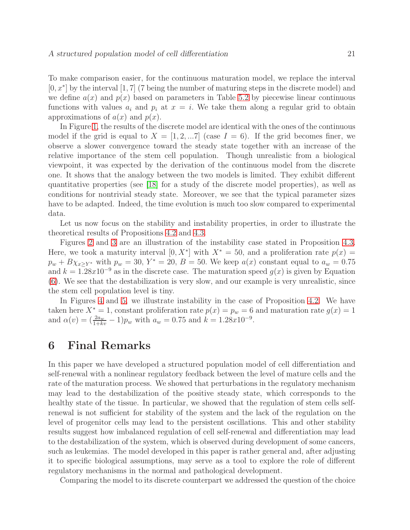To make comparison easier, for the continuous maturation model, we replace the interval [0, x<sup>\*</sup>] by the interval [1, 7] (7 being the number of maturing steps in the discrete model) and we define  $a(x)$  and  $p(x)$  based on parameters in Table [5.2](#page-20-0) by piecewise linear continuous functions with values  $a_i$  and  $p_i$  at  $x = i$ . We take them along a regular grid to obtain approximations of  $a(x)$  and  $p(x)$ .

In Figure [1,](#page-22-0) the results of the discrete model are identical with the ones of the continuous model if the grid is equal to  $X = \begin{bmatrix} 1 & 2 & \dots & 7 \end{bmatrix}$  (case  $I = 6$ ). If the grid becomes finer, we observe a slower convergence toward the steady state together with an increase of the relative importance of the stem cell population. Though unrealistic from a biological viewpoint, it was expected by the derivation of the continuous model from the discrete one. It shows that the analogy between the two models is limited. They exhibit different quantitative properties (see [\[18\]](#page-29-7) for a study of the discrete model properties), as well as conditions for nontrivial steady state. Moreover, we see that the typical parameter sizes have to be adapted. Indeed, the time evolution is much too slow compared to experimental data.

Let us now focus on the stability and instability properties, in order to illustrate the theoretical results of Propositions [4.2](#page-17-0) and [4.3.](#page-18-2)

Figures [2](#page-23-0) and [3](#page-23-1) are an illustration of the instability case stated in Proposition [4.3.](#page-18-2) Here, we took a maturity interval  $[0, X^*]$  with  $X^* = 50$ , and a proliferation rate  $p(x) =$  $p_w + B\chi_{x\geq Y^*}$  with  $p_w = 30$ ,  $Y^* = 20$ ,  $B = 50$ . We keep  $a(x)$  constant equal to  $a_w = 0.75$ and  $k = 1.28x10^{-9}$  as in the discrete case. The maturation speed  $g(x)$  is given by Equation [\(6\)](#page-5-0). We see that the destabilization is very slow, and our example is very unrealistic, since the stem cell population level is tiny.

In Figures [4](#page-24-0) and [5,](#page-25-2) we illustrate instability in the case of Proposition [4.2.](#page-17-0) We have taken here  $X^* = 1$ , constant proliferation rate  $p(x) = p_w = 6$  and maturation rate  $g(x) = 1$ and  $\alpha(v) = \left(\frac{2aw}{1+kv} - 1\right) p_w$  with  $a_w = 0.75$  and  $k = 1.28x10^{-9}$ .

## <span id="page-21-0"></span>6 Final Remarks

In this paper we have developed a structured population model of cell differentiation and self-renewal with a nonlinear regulatory feedback between the level of mature cells and the rate of the maturation process. We showed that perturbations in the regulatory mechanism may lead to the destabilization of the positive steady state, which corresponds to the healthy state of the tissue. In particular, we showed that the regulation of stem cells selfrenewal is not sufficient for stability of the system and the lack of the regulation on the level of progenitor cells may lead to the persistent oscillations. This and other stability results suggest how imbalanced regulation of cell self-renewal and differentiation may lead to the destabilization of the system, which is observed during development of some cancers, such as leukemias. The model developed in this paper is rather general and, after adjusting it to specific biological assumptions, may serve as a tool to explore the role of different regulatory mechanisms in the normal and pathological development.

Comparing the model to its discrete counterpart we addressed the question of the choice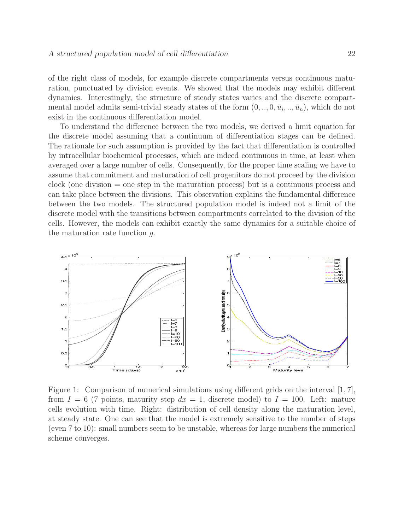of the right class of models, for example discrete compartments versus continuous maturation, punctuated by division events. We showed that the models may exhibit different dynamics. Interestingly, the structure of steady states varies and the discrete compartmental model admits semi-trivial steady states of the form  $(0, ..., 0, \bar{u}_i, ..., \bar{u}_n)$ , which do not exist in the continuous differentiation model.

To understand the difference between the two models, we derived a limit equation for the discrete model assuming that a continuum of differentiation stages can be defined. The rationale for such assumption is provided by the fact that differentiation is controlled by intracellular biochemical processes, which are indeed continuous in time, at least when averaged over a large number of cells. Consequently, for the proper time scaling we have to assume that commitment and maturation of cell progenitors do not proceed by the division clock (one division  $=$  one step in the maturation process) but is a continuous process and can take place between the divisions. This observation explains the fundamental difference between the two models. The structured population model is indeed not a limit of the discrete model with the transitions between compartments correlated to the division of the cells. However, the models can exhibit exactly the same dynamics for a suitable choice of the maturation rate function  $q$ .



<span id="page-22-0"></span>Figure 1: Comparison of numerical simulations using different grids on the interval [1, 7], from  $I = 6$  (7 points, maturity step  $dx = 1$ , discrete model) to  $I = 100$ . Left: mature cells evolution with time. Right: distribution of cell density along the maturation level, at steady state. One can see that the model is extremely sensitive to the number of steps (even 7 to 10): small numbers seem to be unstable, whereas for large numbers the numerical scheme converges.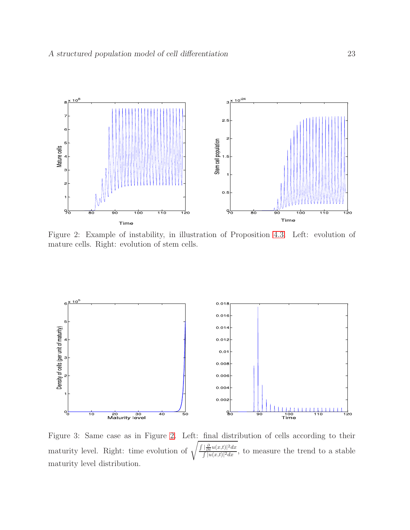

<span id="page-23-0"></span>Figure 2: Example of instability, in illustration of Proposition [4.3.](#page-18-2) Left: evolution of mature cells. Right: evolution of stem cells.



<span id="page-23-1"></span>Figure 3: Same case as in Figure [2.](#page-23-0) Left: final distribution of cells according to their maturity level. Right: time evolution of  $\frac{\partial}{\partial t}u(x,t)|^2 dx$  $\frac{\partial \overline{\partial t} u(x,t)|}{\partial |u(x,t)|^2 dx}$ , to measure the trend to a stable maturity level distribution.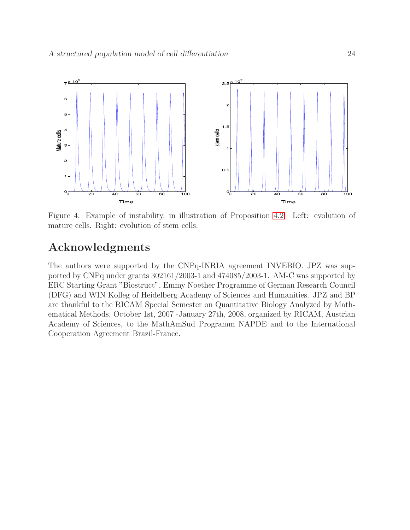

<span id="page-24-0"></span>Figure 4: Example of instability, in illustration of Proposition [4.2.](#page-17-0) Left: evolution of mature cells. Right: evolution of stem cells.

# Acknowledgments

The authors were supported by the CNPq-INRIA agreement INVEBIO. JPZ was supported by CNPq under grants 302161/2003-1 and 474085/2003-1. AM-C was supported by ERC Starting Grant "Biostruct", Emmy Noether Programme of German Research Council (DFG) and WIN Kolleg of Heidelberg Academy of Sciences and Humanities. JPZ and BP are thankful to the RICAM Special Semester on Quantitative Biology Analyzed by Mathematical Methods, October 1st, 2007 -January 27th, 2008, organized by RICAM, Austrian Academy of Sciences, to the MathAmSud Programm NAPDE and to the International Cooperation Agreement Brazil-France.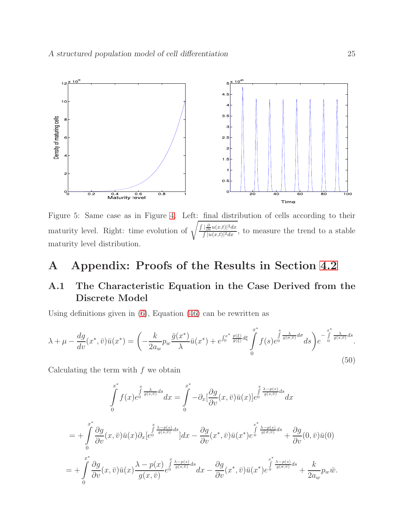

<span id="page-25-2"></span>Figure 5: Same case as in Figure [4.](#page-24-0) Left: final distribution of cells according to their maturity level. Right: time evolution of  $\sqrt{\frac{\int \left|\frac{\partial}{\partial t} u(x,t)\right|^2 dx}{\int |u(x,t)|^2 dx}}$  $\frac{\partial \overline{\partial t} u(x,t)|}{\partial |u(x,t)|^2 dx}$ , to measure the trend to a stable maturity level distribution.

# <span id="page-25-0"></span>A Appendix: Proofs of the Results in Section [4.2](#page-18-0)

## <span id="page-25-1"></span>A.1 The Characteristic Equation in the Case Derived from the Discrete Model

Using definitions given in [\(6\)](#page-5-0), Equation [\(46\)](#page-16-1) can be rewritten as

$$
\lambda + \mu - \frac{dg}{dv}(x^*, \bar{v})\bar{u}(x^*) = \left(-\frac{k}{2a_w}p_w\frac{\bar{g}(x^*)}{\lambda}\bar{u}(x^*) + e^{\int_0^{x^*}\frac{p(\xi)}{\bar{g}(\xi)}d\xi} \int_0^{x^*} f(s)e^{\int_0^s \frac{\lambda}{g(\sigma,\bar{v})}d\sigma}ds\right) e^{-\int_0^{x^*}\frac{\lambda}{g(s,\bar{v})}ds}.
$$
\n(50)

Calculating the term with  $f$  we obtain

<span id="page-25-3"></span>
$$
\int_{0}^{x^{*}} f(x)e^{\int_{0}^{x} \frac{\lambda}{g(s,\bar{v})}ds} dx = \int_{0}^{x^{*}} -\partial_{x} \left[ \frac{\partial g}{\partial v}(x,\bar{v})\bar{u}(x) \right] e^{\int_{0}^{x} \frac{\lambda - p(s)}{g(s,\bar{v})}ds} dx
$$
\n
$$
= + \int_{0}^{x^{*}} \frac{\partial g}{\partial v}(x,\bar{v})\bar{u}(x)\partial_{x} \left[e^{\int_{0}^{x} \frac{\lambda - p(s)}{g(s,\bar{v})}ds}\right] dx - \frac{\partial g}{\partial v}(x^{*},\bar{v})\bar{u}(x^{*})e^{\int_{0}^{x^{*}} \frac{\lambda - p(s)}{g(\sigma,\bar{v})}ds} + \frac{\partial g}{\partial v}(0,\bar{v})\bar{u}(0)
$$
\n
$$
= + \int_{0}^{x^{*}} \frac{\partial g}{\partial v}(x,\bar{v})\bar{u}(x)\frac{\lambda - p(x)}{g(x,\bar{v})}e^{\int_{0}^{x} \frac{\lambda - p(s)}{g(s,\bar{v})}ds} dx - \frac{\partial g}{\partial v}(x^{*},\bar{v})\bar{u}(x^{*})e^{\int_{0}^{x^{*}} \frac{\lambda - p(s)}{g(\sigma,\bar{v})}ds} + \frac{k}{2a_{w}}p_{w}\bar{w}.
$$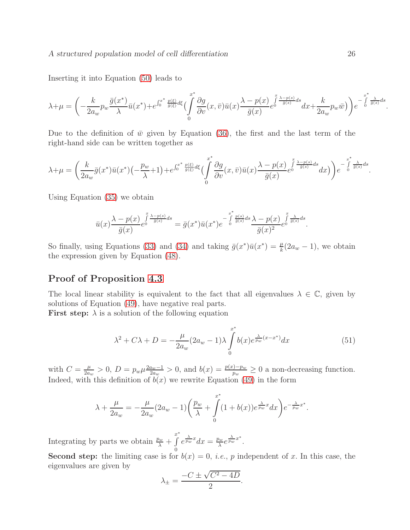Inserting it into Equation [\(50\)](#page-25-3) leads to

$$
\lambda+\mu=\bigg(-\frac{k}{2a_w}p_w\frac{\bar{g}(x^*)}{\lambda}\bar{u}(x^*)+e^{\int_0^{x^*}\frac{p(\xi)}{\bar{g}(\xi)}d\xi}\bigg(\int\limits_0^{x^*}\frac{\partial g}{\partial v}(x,\bar{v})\bar{u}(x)\frac{\lambda-p(x)}{\bar{g}(x)}e^{\int\limits_0^{x}\frac{\lambda-p(s)}{\bar{g}(s)}ds}dx+\frac{k}{2a_w}p_w\bar{w}\bigg)\bigg)e^{-\int\limits_0^{x^*}\frac{\lambda}{\bar{g}(s)}ds}.
$$

Due to the definition of  $\bar{w}$  given by Equation [\(36\)](#page-15-1), the first and the last term of the right-hand side can be written together as

$$
\lambda + \mu = \left(\frac{k}{2a_w}\overline{g}(x^*)\overline{u}(x^*)\left(-\frac{p_w}{\lambda} + 1\right) + e^{\int_0^{x^*} \frac{p(\xi)}{\overline{g}(\xi)}d\xi} \left(\int_0^x \frac{\partial g}{\partial v}(x,\overline{v})\overline{u}(x) \frac{\lambda - p(x)}{\overline{g}(x)} e^{\int_0^x \frac{\lambda - p(s)}{\overline{g}(s)}ds} dx\right)\right) e^{-\int_0^{x^*} \frac{\lambda}{\overline{g}(s)}ds}.
$$

Using Equation [\(35\)](#page-15-3) we obtain

$$
\bar{u}(x)\frac{\lambda-p(x)}{\bar{g}(x)}e^{\int\limits_0^x\frac{\lambda-p(s)}{\bar{g}(s)}ds}=\bar{g}(x^*)\bar{u}(x^*)e^{-\int\limits_0^{x^*}\frac{p(s)}{\bar{g}(s)}ds}\frac{\lambda-p(x)}{\bar{g}(x)^2}e^{\int\limits_0^x\frac{\lambda}{\bar{g}(s)}ds}.
$$

So finally, using Equations [\(33\)](#page-14-2) and [\(34\)](#page-15-2) and taking  $\bar{g}(x^*)\bar{u}(x^*) = \frac{\mu}{k}(2a_w - 1)$ , we obtain the expression given by Equation [\(48\)](#page-18-1).

### Proof of Proposition [4.3](#page-18-2)

The local linear stability is equivalent to the fact that all eigenvalues  $\lambda \in \mathbb{C}$ , given by solutions of Equation [\(49\)](#page-18-3), have negative real parts.

**First step:**  $\lambda$  is a solution of the following equation

$$
\lambda^{2} + C\lambda + D = -\frac{\mu}{2a_{w}}(2a_{w} - 1)\lambda \int_{0}^{x^{*}} b(x)e^{\frac{\lambda}{pw}(x - x^{*})}dx
$$
\n(51)

with  $C = \frac{\mu}{2a}$  $\frac{\mu}{2a_w} > 0, D = p_w \mu \frac{2a_w - 1}{2a_w}$  $\frac{a_w-1}{2a_w} > 0$ , and  $b(x) = \frac{p(x)-p_w}{p_w} \ge 0$  a non-decreasing function. Indeed, with this definition of  $b(x)$  we rewrite Equation [\(49\)](#page-18-3) in the form

$$
\lambda + \frac{\mu}{2a_w} = -\frac{\mu}{2a_w}(2a_w - 1)\left(\frac{p_w}{\lambda} + \int\limits_0^{x^*} (1 + b(x))e^{\frac{\lambda}{pw}x} dx\right) e^{-\frac{\lambda}{pw}x^*}.
$$

Integrating by parts we obtain  $\frac{p_w}{\lambda}$  + x ∗ R  $\theta$  $e^{\frac{\lambda}{pw}x}dx = \frac{p_w}{\lambda}$  $\frac{\partial_w}{\partial} e^{\frac{\lambda}{pw}x^*}.$ 

**Second step:** the limiting case is for  $b(x) = 0$ , *i.e.*, *p* independent of *x*. In this case, the eigenvalues are given by

$$
\lambda_{\pm} = \frac{-C \pm \sqrt{C^2 - 4D}}{2}.
$$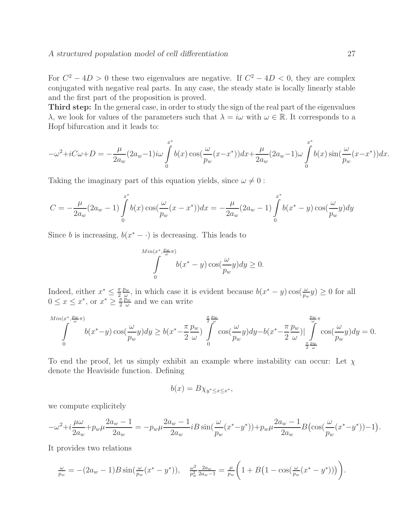#### A structured population model of cell differentiation 27

For  $C^2 - 4D > 0$  these two eigenvalues are negative. If  $C^2 - 4D < 0$ , they are complex conjugated with negative real parts. In any case, the steady state is locally linearly stable and the first part of the proposition is proved.

Third step: In the general case, in order to study the sign of the real part of the eigenvalues  $\lambda$ , we look for values of the parameters such that  $\lambda = i\omega$  with  $\omega \in \mathbb{R}$ . It corresponds to a Hopf bifurcation and it leads to:

$$
-\omega^2 + iC\omega + D = -\frac{\mu}{2a_w}(2a_w - 1) i\omega \int_0^{x^*} b(x) \cos(\frac{\omega}{p_w}(x - x^*)) dx + \frac{\mu}{2a_w}(2a_w - 1)\omega \int_0^{x^*} b(x) \sin(\frac{\omega}{p_w}(x - x^*)) dx.
$$

Taking the imaginary part of this equation yields, since  $\omega \neq 0$ :

$$
C = -\frac{\mu}{2a_w}(2a_w - 1)\int_{0}^{x^*} b(x)\cos(\frac{\omega}{p_w}(x - x^*))dx = -\frac{\mu}{2a_w}(2a_w - 1)\int_{0}^{x^*} b(x^* - y)\cos(\frac{\omega}{p_w}y)dy
$$

Since b is increasing,  $b(x^* - \cdot)$  is decreasing. This leads to

$$
\int_{0}^{Min(x^*, \frac{p_w}{\omega}\pi)} b(x^* - y) \cos(\frac{\omega}{p_w}y) dy \ge 0.
$$

Indeed, either  $x^* \leq \frac{\pi}{2}$ 2  $\overline{p_w}$  $\frac{\partial w}{\partial y}$ , in which case it is evident because  $b(x^* - y) \cos(\frac{\omega}{p_w} y) \ge 0$  for all  $0 \le x \le x^*$ , or  $x^* \ge \frac{\pi}{2}$ 2  $\overset{\mathtt{w}}{p}_w$  $\frac{\partial w}{\partial \omega}$  and we can write

$$
\int_{0}^{\lim(x^*, \frac{p_w}{\omega}\pi)} b(x^* - y) \cos(\frac{\omega}{p_w}y) dy \ge b(x^* - \frac{\pi}{2}\frac{p_w}{\omega}) \int_{0}^{\frac{\pi}{2}\frac{p_w}{\omega}} \cos(\frac{\omega}{p_w}y) dy - b(x^* - \frac{\pi}{2}\frac{p_w}{\omega}) |\int_{\frac{\pi}{2}\frac{p_w}{\omega}}^{\frac{p_w}{\omega}\pi} \cos(\frac{\omega}{p_w}y) dy = 0.
$$

To end the proof, let us simply exhibit an example where instability can occur: Let  $\chi$ denote the Heaviside function. Defining

$$
b(x) = B\chi_{y^* \le x \le x^*},
$$

we compute explicitely

$$
-\omega^2 + i\frac{\mu\omega}{2a_w} + p_w\mu \frac{2a_w - 1}{2a_w} = -p_w\mu \frac{2a_w - 1}{2a_w} iB \sin(\frac{\omega}{p_w}(x^* - y^*)) + p_w\mu \frac{2a_w - 1}{2a_w} B(\cos(\frac{\omega}{p_w}(x^* - y^*)) - 1).
$$

It provides two relations

$$
\frac{\omega}{p_w} = -(2a_w - 1)B \sin(\frac{\omega}{p_w}(x^* - y^*)), \quad \frac{\omega^2}{p_w^2} \frac{2a_w}{2a_w - 1} = \frac{\mu}{p_w} \left(1 + B\left(1 - \cos(\frac{\omega}{p_w}(x^* - y^*))\right)\right).
$$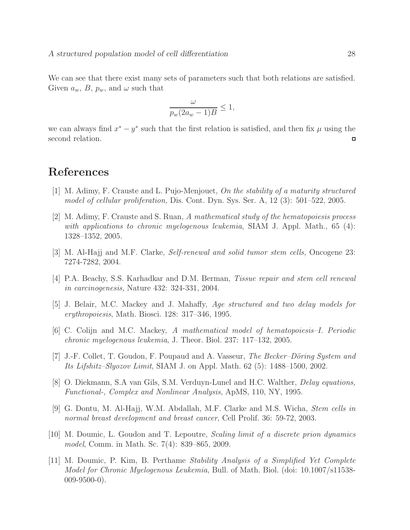We can see that there exist many sets of parameters such that both relations are satisfied. Given  $a_w$ ,  $B$ ,  $p_w$ , and  $\omega$  such that

$$
\frac{\omega}{p_w(2a_w-1)B} \le 1,
$$

we can always find  $x^* - y^*$  such that the first relation is satisfied, and then fix  $\mu$  using the second relation.  $\Box$ 

# <span id="page-28-5"></span>References

- <span id="page-28-6"></span>[1] M. Adimy, F. Crauste and L. Pujo-Menjouet, *On the stability of a maturity structured model of cellular proliferation,* Dis. Cont. Dyn. Sys. Ser. A, 12 (3): 501–522, 2005.
- [2] M. Adimy, F. Crauste and S. Ruan, *A mathematical study of the hematopoiesis process with applications to chronic myelogenous leukemia*, SIAM J. Appl. Math., 65 (4): 1328–1352, 2005.
- <span id="page-28-1"></span><span id="page-28-0"></span>[3] M. Al-Hajj and M.F. Clarke, *Self-renewal and solid tumor stem cells,* Oncogene 23: 7274-7282, 2004.
- <span id="page-28-4"></span>[4] P.A. Beachy, S.S. Karhadkar and D.M. Berman, *Tissue repair and stem cell renewal in carcinogenesis,* Nature 432: 324-331, 2004.
- <span id="page-28-3"></span>[5] J. Belair, M.C. Mackey and J. Mahaffy, *Age structured and two delay models for erythropoiesis*, Math. Biosci. 128: 317–346, 1995.
- [6] C. Colijn and M.C. Mackey, *A mathematical model of hematopoiesis–I. Periodic chronic myelogenous leukemia*, J. Theor. Biol. 237: 117–132, 2005.
- <span id="page-28-8"></span>[7] J.-F. Collet, T. Goudon, F. Poupaud and A. Vasseur, *The Becker–Döring System and Its Lifshitz–Slyozov Limit*, SIAM J. on Appl. Math. 62 (5): 1488–1500, 2002.
- <span id="page-28-10"></span><span id="page-28-2"></span>[8] O. Diekmann, S.A van Gils, S.M. Verduyn-Lunel and H.C. Walther, *Delay equations, Functional-, Complex and Nonlinear Analysis*, ApMS, 110, NY, 1995.
- <span id="page-28-9"></span>[9] G. Dontu, M. Al-Hajj, W.M. Abdallah, M.F. Clarke and M.S. Wicha, *Stem cells in normal breast development and breast cancer*, Cell Prolif. 36: 59-72, 2003.
- [10] M. Doumic, L. Goudon and T. Lepoutre, *Scaling limit of a discrete prion dynamics model*, Comm. in Math. Sc. 7(4): 839–865, 2009.
- <span id="page-28-7"></span>[11] M. Doumic, P. Kim, B. Perthame *Stability Analysis of a Simplified Yet Complete Model for Chronic Myelogenous Leukemia*, Bull. of Math. Biol. (doi: 10.1007/s11538-  $009-9500-0$ ).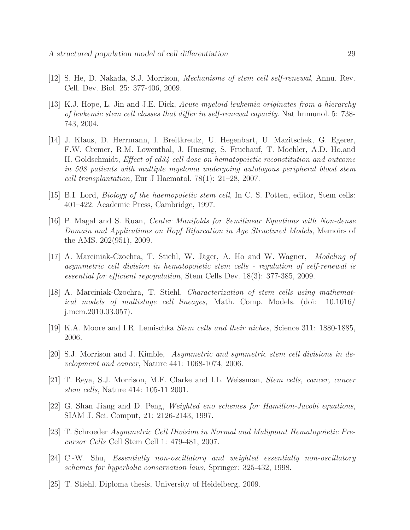- <span id="page-29-8"></span><span id="page-29-2"></span>[12] S. He, D. Nakada, S.J. Morrison, *Mechanisms of stem cell self-renewal*, Annu. Rev. Cell. Dev. Biol. 25: 377-406, 2009.
- [13] K.J. Hope, L. Jin and J.E. Dick, *Acute myeloid leukemia originates from a hierarchy of leukemic stem cell classes that differ in self-renewal capacity*. Nat Immunol. 5: 738- 743, 2004.
- [14] J. Klaus, D. Herrmann, I. Breitkreutz, U. Hegenbart, U. Mazitschek, G. Egerer, F.W. Cremer, R.M. Lowenthal, J. Huesing, S. Fruehauf, T. Moehler, A.D. Ho,and H. Goldschmidt, *Effect of cd34 cell dose on hematopoietic reconstitution and outcome in 508 patients with multiple myeloma undergoing autologous peripheral blood stem cell transplantation,* Eur J Haematol. 78(1): 21–28, 2007.
- <span id="page-29-9"></span><span id="page-29-6"></span>[15] B.I. Lord, *Biology of the haemopoietic stem cell*, In C. S. Potten, editor, Stem cells: 401–422. Academic Press, Cambridge, 1997.
- [16] P. Magal and S. Ruan, *Center Manifolds for Semilinear Equations with Non-dense Domain and Applications on Hopf Bifurcation in Age Structured Models*, Memoirs of the AMS. 202(951), 2009.
- <span id="page-29-0"></span>[17] A. Marciniak-Czochra, T. Stiehl, W. Jäger, A. Ho and W. Wagner, *Modeling of asymmetric cell division in hematopoietic stem cells - regulation of self-renewal is essential for efficient repopulation,* Stem Cells Dev. 18(3): 377-385, 2009.
- <span id="page-29-7"></span>[18] A. Marciniak-Czochra, T. Stiehl, *Characterization of stem cells using mathematical models of multistage cell lineages,* Math. Comp. Models. (doi: 10.1016/ j.mcm.2010.03.057).
- <span id="page-29-4"></span><span id="page-29-1"></span>[19] K.A. Moore and I.R. Lemischka *Stem cells and their niches,* Science 311: 1880-1885, 2006.
- [20] S.J. Morrison and J. Kimble, *Asymmetric and symmetric stem cell divisions in development and cancer*, Nature 441: 1068-1074, 2006.
- <span id="page-29-5"></span>[21] T. Reya, S.J. Morrison, M.F. Clarke and I.L. Weissman, *Stem cells, cancer, cancer stem cells*, Nature 414: 105-11 2001.
- <span id="page-29-11"></span>[22] G. Shan Jiang and D. Peng, *Weighted eno schemes for Hamilton-Jacobi equations*, SIAM J. Sci. Comput, 21: 2126-2143, 1997.
- <span id="page-29-3"></span>[23] T. Schroeder *Asymmetric Cell Division in Normal and Malignant Hematopoietic Precursor Cells* Cell Stem Cell 1: 479-481, 2007.
- <span id="page-29-10"></span>[24] C.-W. Shu, *Essentially non-oscillatory and weighted essentially non-oscillatory schemes for hyperbolic conservation laws,* Springer: 325-432, 1998.
- <span id="page-29-12"></span>[25] T. Stiehl. Diploma thesis, University of Heidelberg, 2009.